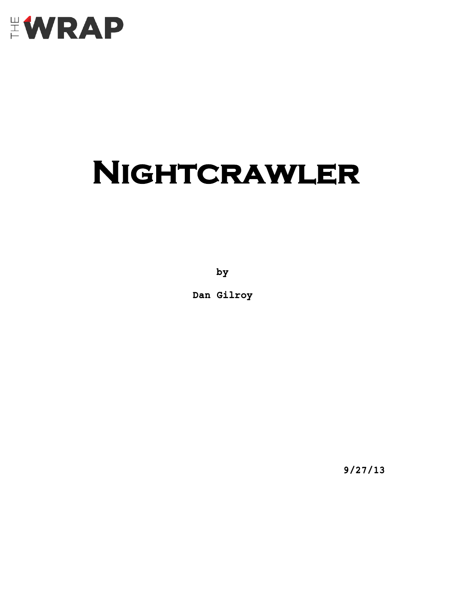

# **Nightcrawler**

 **by**

 **Dan Gilroy**

**9/27/13**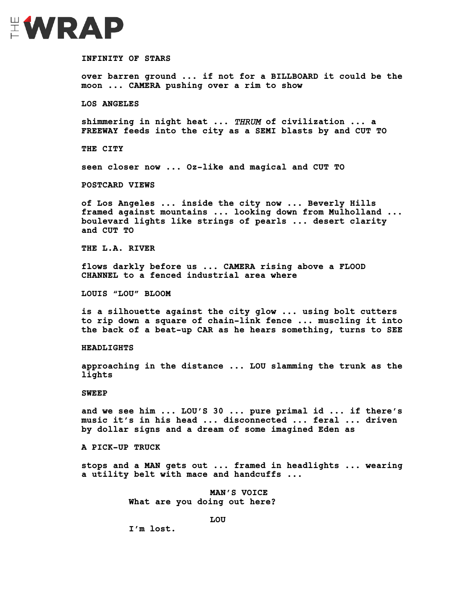# EWRAP

#### **INFINITY OF STARS**

**over barren ground ... if not for a BILLBOARD it could be the moon ... CAMERA pushing over a rim to show** 

**LOS ANGELES**

**shimmering in night heat ...** *THRUM* **of civilization ... a FREEWAY feeds into the city as a SEMI blasts by and CUT TO** 

**THE CITY** 

**seen closer now ... Oz-like and magical and CUT TO** 

**POSTCARD VIEWS** 

**of Los Angeles ... inside the city now ... Beverly Hills framed against mountains ... looking down from Mulholland ... boulevard lights like strings of pearls ... desert clarity and CUT TO**

**THE L.A. RIVER**

**flows darkly before us ... CAMERA rising above a FLOOD CHANNEL to a fenced industrial area where** 

**LOUIS "LOU" BLOOM**

**is a silhouette against the city glow ... using bolt cutters to rip down a square of chain-link fence ... muscling it into the back of a beat-up CAR as he hears something, turns to SEE** 

**HEADLIGHTS**

**approaching in the distance ... LOU slamming the trunk as the lights** 

#### **SWEEP**

**and we see him ... LOU'S 30 ... pure primal id ... if there's music it's in his head ... disconnected ... feral ... driven by dollar signs and a dream of some imagined Eden as** 

**A PICK-UP TRUCK**

**stops and a MAN gets out ... framed in headlights ... wearing a utility belt with mace and handcuffs ...** 

> **MAN'S VOICE What are you doing out here?**

> > **LOU**

**I'm lost.**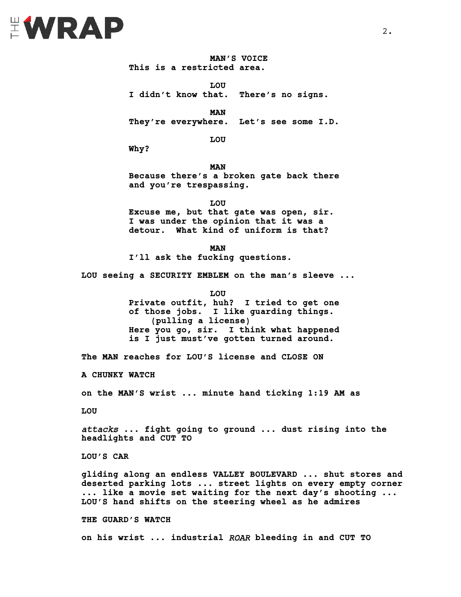

**MAN'S VOICE This is a restricted area.**

**LOU I didn't know that. There's no signs.** 

**MAN They're everywhere. Let's see some I.D.**

**LOU**

**Why?**

**MAN Because there's a broken gate back there and you're trespassing.**

**LOU Excuse me, but that gate was open, sir. I was under the opinion that it was a detour. What kind of uniform is that?** 

**MAN I'll ask the fucking questions.**

**LOU seeing a SECURITY EMBLEM on the man's sleeve ...** 

**LOU Private outfit, huh? I tried to get one of those jobs. I like guarding things. (pulling a license) Here you go, sir. I think what happened is I just must've gotten turned around.** 

**The MAN reaches for LOU'S license and CLOSE ON** 

**A CHUNKY WATCH**

**on the MAN'S wrist ... minute hand ticking 1:19 AM as** 

**LOU** 

*attacks* **... fight going to ground ... dust rising into the headlights and CUT TO** 

**LOU'S CAR** 

**gliding along an endless VALLEY BOULEVARD ... shut stores and deserted parking lots ... street lights on every empty corner ... like a movie set waiting for the next day's shooting ... LOU'S hand shifts on the steering wheel as he admires**

**THE GUARD'S WATCH**

**on his wrist ... industrial** *ROAR* **bleeding in and CUT TO**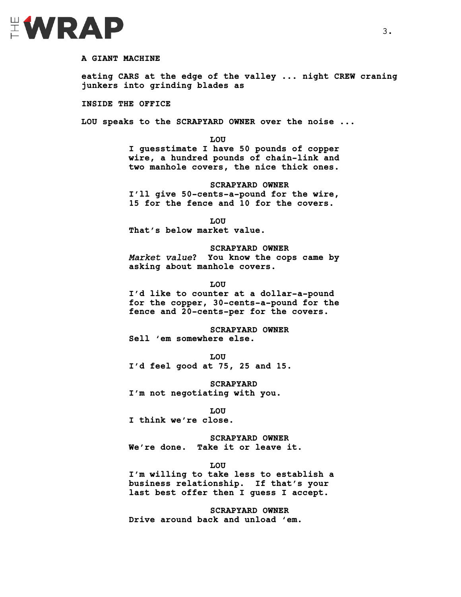# EWRAP

#### **A GIANT MACHINE**

**eating CARS at the edge of the valley ... night CREW craning junkers into grinding blades as**

**INSIDE THE OFFICE**

**LOU speaks to the SCRAPYARD OWNER over the noise ...**

**LOU I guesstimate I have 50 pounds of copper wire, a hundred pounds of chain-link and two manhole covers, the nice thick ones.** 

**SCRAPYARD OWNER I'll give 50-cents-a-pound for the wire, 15 for the fence and 10 for the covers.**

**LOU That's below market value.**

**SCRAPYARD OWNER** *Market value***? You know the cops came by asking about manhole covers.** 

**LOU**

**I'd like to counter at a dollar-a-pound for the copper, 30-cents-a-pound for the fence and 20-cents-per for the covers.** 

**SCRAPYARD OWNER Sell 'em somewhere else.** 

**LOU I'd feel good at 75, 25 and 15.**

**SCRAPYARD I'm not negotiating with you.**

**LOU I think we're close.**

**SCRAPYARD OWNER We're done. Take it or leave it.**

**LOU**

**I'm willing to take less to establish a business relationship. If that's your last best offer then I guess I accept.**

**SCRAPYARD OWNER Drive around back and unload 'em.**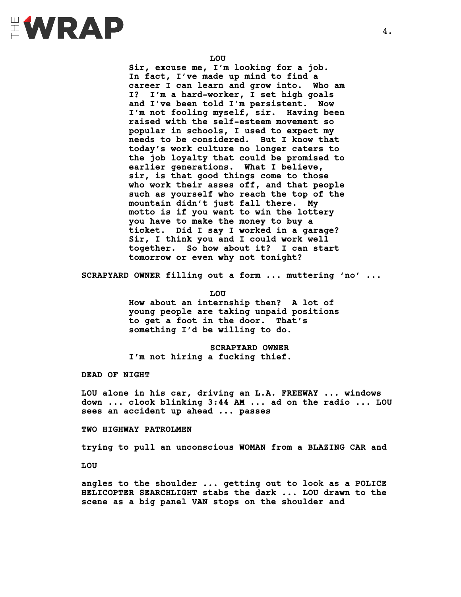

**LOU**

**Sir, excuse me, I'm looking for a job. In fact, I've made up mind to find a career I can learn and grow into. Who am I? I'm a hard-worker, I set high goals and I've been told I'm persistent. Now I'm not fooling myself, sir. Having been raised with the self-esteem movement so popular in schools, I used to expect my needs to be considered. But I know that today's work culture no longer caters to the job loyalty that could be promised to earlier generations. What I believe, sir, is that good things come to those who work their asses off, and that people such as yourself who reach the top of the mountain didn't just fall there. My motto is if you want to win the lottery you have to make the money to buy a ticket. Did I say I worked in a garage? Sir, I think you and I could work well together. So how about it? I can start tomorrow or even why not tonight?** 

**SCRAPYARD OWNER filling out a form ... muttering 'no' ...** 

**LOU**

**How about an internship then? A lot of young people are taking unpaid positions to get a foot in the door. That's something I'd be willing to do.**

**SCRAPYARD OWNER I'm not hiring a fucking thief.**

**DEAD OF NIGHT** 

**LOU alone in his car, driving an L.A. FREEWAY ... windows down ... clock blinking 3:44 AM ... ad on the radio ... LOU sees an accident up ahead ... passes** 

**TWO HIGHWAY PATROLMEN** 

**trying to pull an unconscious WOMAN from a BLAZING CAR and**

**LOU**

**angles to the shoulder ... getting out to look as a POLICE HELICOPTER SEARCHLIGHT stabs the dark ... LOU drawn to the scene as a big panel VAN stops on the shoulder and**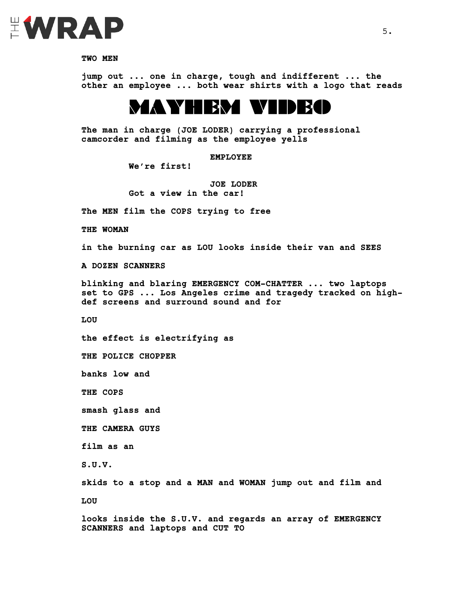

**TWO MEN** 

**jump out ... one in charge, tough and indifferent ... the other an employee ... both wear shirts with a logo that reads** 

### MAYHEM VIDEO

**The man in charge (JOE LODER) carrying a professional camcorder and filming as the employee yells** 

#### **EMPLOYEE**

**We're first!** 

**JOE LODER Got a view in the car!**

**The MEN film the COPS trying to free** 

**THE WOMAN** 

**in the burning car as LOU looks inside their van and SEES** 

**A DOZEN SCANNERS** 

**blinking and blaring EMERGENCY COM-CHATTER ... two laptops set to GPS ... Los Angeles crime and tragedy tracked on highdef screens and surround sound and for** 

**LOU**

**the effect is electrifying as**

**THE POLICE CHOPPER** 

**banks low and** 

**THE COPS**

**smash glass and** 

**THE CAMERA GUYS** 

**film as an**

**S.U.V.** 

**skids to a stop and a MAN and WOMAN jump out and film and LOU**

**looks inside the S.U.V. and regards an array of EMERGENCY SCANNERS and laptops and CUT TO**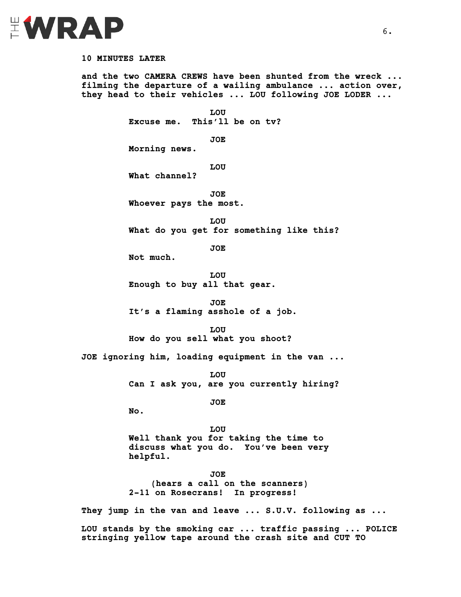

#### **10 MINUTES LATER**

**and the two CAMERA CREWS have been shunted from the wreck ... filming the departure of a wailing ambulance ... action over, they head to their vehicles ... LOU following JOE LODER ... LOU Excuse me. This'll be on tv? JOE Morning news. LOU What channel? JOE Whoever pays the most. LOU What do you get for something like this? JOE Not much. LOU Enough to buy all that gear. JOE It's a flaming asshole of a job. LOU How do you sell what you shoot? JOE ignoring him, loading equipment in the van ... LOU Can I ask you, are you currently hiring? JOE No. LOU Well thank you for taking the time to discuss what you do. You've been very helpful. JOE (hears a call on the scanners) 2-11 on Rosecrans! In progress! They jump in the van and leave ... S.U.V. following as ... LOU stands by the smoking car ... traffic passing ... POLICE stringing yellow tape around the crash site and CUT TO**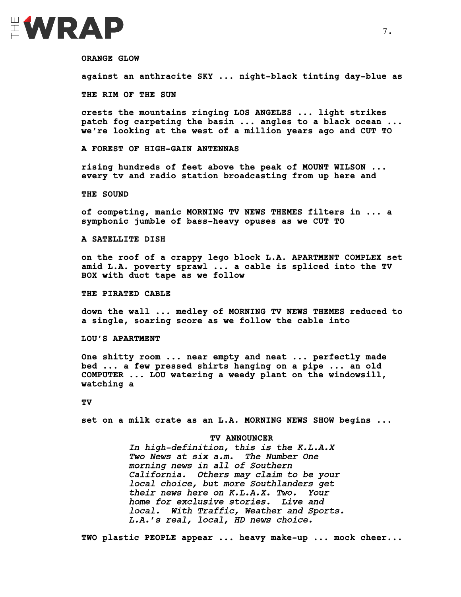

**ORANGE GLOW** 

**against an anthracite SKY ... night-black tinting day-blue as** 

**THE RIM OF THE SUN**

**crests the mountains ringing LOS ANGELES ... light strikes patch fog carpeting the basin ... angles to a black ocean ... we're looking at the west of a million years ago and CUT TO** 

**A FOREST OF HIGH-GAIN ANTENNAS** 

**rising hundreds of feet above the peak of MOUNT WILSON ... every tv and radio station broadcasting from up here and** 

**THE SOUND** 

**of competing, manic MORNING TV NEWS THEMES filters in ... a symphonic jumble of bass-heavy opuses as we CUT TO** 

**A SATELLITE DISH** 

**on the roof of a crappy lego block L.A. APARTMENT COMPLEX set amid L.A. poverty sprawl ... a cable is spliced into the TV BOX with duct tape as we follow** 

**THE PIRATED CABLE** 

**down the wall ... medley of MORNING TV NEWS THEMES reduced to a single, soaring score as we follow the cable into** 

**LOU'S APARTMENT**

**One shitty room ... near empty and neat ... perfectly made bed ... a few pressed shirts hanging on a pipe ... an old COMPUTER ... LOU watering a weedy plant on the windowsill, watching a** 

**TV** 

**set on a milk crate as an L.A. MORNING NEWS SHOW begins ...** 

**TV ANNOUNCER** *In high-definition, this is the K.L.A.X Two News at six a.m. The Number One morning news in all of Southern California. Others may claim to be your local choice, but more Southlanders get their news here on K.L.A.X. Two. Your home for exclusive stories. Live and local. With Traffic, Weather and Sports. L.A.'s real, local, HD news choice.*

**TWO plastic PEOPLE appear ... heavy make-up ... mock cheer...**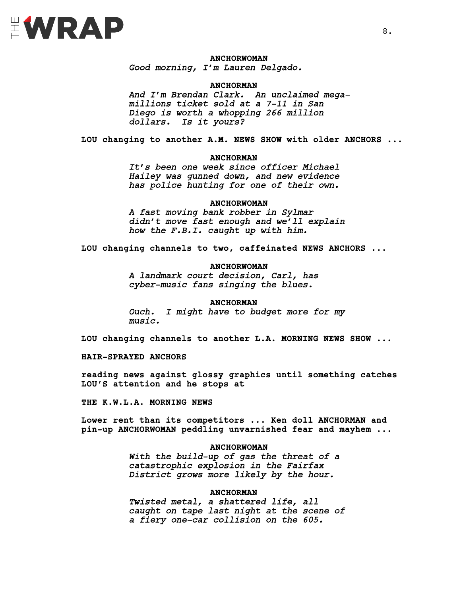

**ANCHORWOMAN** *Good morning, I'm Lauren Delgado.*

**ANCHORMAN** *And I'm Brendan Clark. An unclaimed megamillions ticket sold at a 7-11 in San Diego is worth a whopping 266 million dollars. Is it yours?*

**LOU changing to another A.M. NEWS SHOW with older ANCHORS ...**

**ANCHORMAN** *It's been one week since officer Michael Hailey was gunned down, and new evidence has police hunting for one of their own.*

**ANCHORWOMAN** *A fast moving bank robber in Sylmar didn't move fast enough and we'll explain how the F.B.I. caught up with him.*

**LOU changing channels to two, caffeinated NEWS ANCHORS ...**

**ANCHORWOMAN** *A landmark court decision, Carl, has cyber-music fans singing the blues.*

**ANCHORMAN** *Ouch. I might have to budget more for my music.* 

**LOU changing channels to another L.A. MORNING NEWS SHOW ...**

**HAIR-SPRAYED ANCHORS** 

**reading news against glossy graphics until something catches LOU'S attention and he stops at** 

**THE K.W.L.A. MORNING NEWS**

**Lower rent than its competitors ... Ken doll ANCHORMAN and pin-up ANCHORWOMAN peddling unvarnished fear and mayhem ...**

#### **ANCHORWOMAN**

*With the build-up of gas the threat of a catastrophic explosion in the Fairfax District grows more likely by the hour.*

**ANCHORMAN**

*Twisted metal, a shattered life, all caught on tape last night at the scene of a fiery one-car collision on the 605.*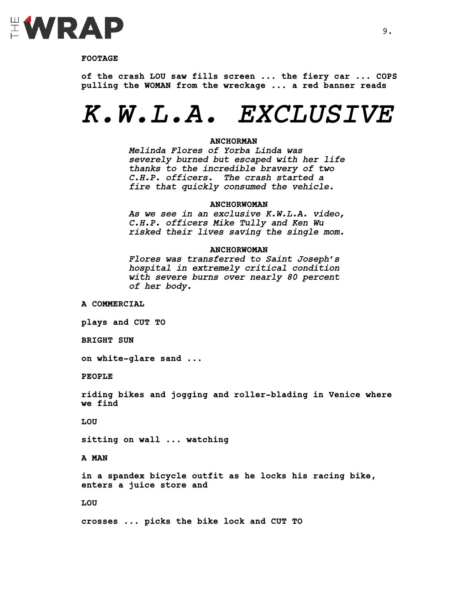

**FOOTAGE**

**of the crash LOU saw fills screen ... the fiery car ... COPS pulling the WOMAN from the wreckage ... a red banner reads** 

## *K.W.L.A. EXCLUSIVE*

#### **ANCHORMAN**

*Melinda Flores of Yorba Linda was severely burned but escaped with her life thanks to the incredible bravery of two C.H.P. officers. The crash started a fire that quickly consumed the vehicle.* 

#### **ANCHORWOMAN**

*As we see in an exclusive K.W.L.A. video, C.H.P. officers Mike Tully and Ken Wu risked their lives saving the single mom.* 

#### **ANCHORWOMAN**

*Flores was transferred to Saint Joseph's hospital in extremely critical condition with severe burns over nearly 80 percent of her body.*

**A COMMERCIAL** 

**plays and CUT TO** 

**BRIGHT SUN**

**on white-glare sand ...** 

**PEOPLE**

**riding bikes and jogging and roller-blading in Venice where we find**

**LOU**

**sitting on wall ... watching**

#### **A MAN**

**in a spandex bicycle outfit as he locks his racing bike, enters a juice store and** 

**LOU**

**crosses ... picks the bike lock and CUT TO**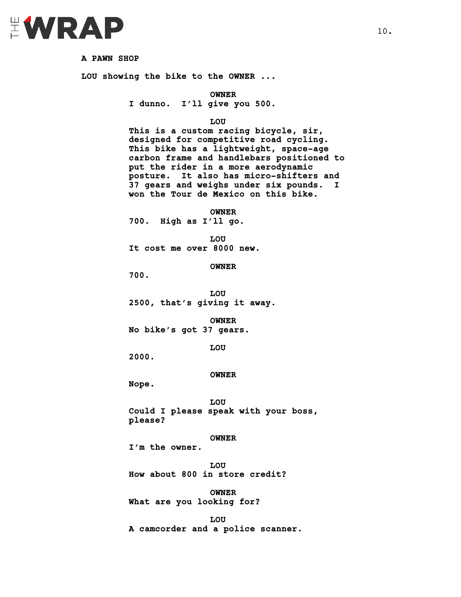

**A PAWN SHOP**

**LOU showing the bike to the OWNER ...**

**OWNER**

**I dunno. I'll give you 500.** 

**LOU**

**This is a custom racing bicycle, sir, designed for competitive road cycling. This bike has a lightweight, space-age carbon frame and handlebars positioned to put the rider in a more aerodynamic posture. It also has micro-shifters and 37 gears and weighs under six pounds. I won the Tour de Mexico on this bike.**

**OWNER**

**700. High as I'll go.** 

**LOU It cost me over 8000 new.**

**OWNER**

**700.**

**LOU 2500, that's giving it away.**

**OWNER No bike's got 37 gears.**

**LOU**

**2000.**

#### **OWNER**

**Nope.**

**LOU Could I please speak with your boss, please?**

#### **OWNER**

**I'm the owner.**

**LOU How about 800 in store credit?**

**OWNER What are you looking for?**

**LOU A camcorder and a police scanner.**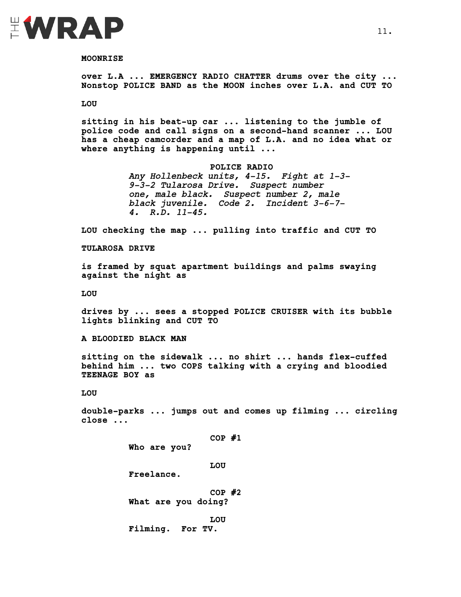

#### **MOONRISE**

**over L.A ... EMERGENCY RADIO CHATTER drums over the city ... Nonstop POLICE BAND as the MOON inches over L.A. and CUT TO** 

#### **LOU**

**sitting in his beat-up car ... listening to the jumble of police code and call signs on a second-hand scanner ... LOU has a cheap camcorder and a map of L.A. and no idea what or where anything is happening until ...** 

> **POLICE RADIO** *Any Hollenbeck units, 4-15. Fight at 1-3- 9-3-2 Tularosa Drive. Suspect number one, male black. Suspect number 2, male black juvenile. Code 2. Incident 3-6-7- 4. R.D. 11-45.*

**LOU checking the map ... pulling into traffic and CUT TO** 

**TULAROSA DRIVE**

**is framed by squat apartment buildings and palms swaying against the night as** 

**LOU**

**drives by ... sees a stopped POLICE CRUISER with its bubble lights blinking and CUT TO** 

**A BLOODIED BLACK MAN**

**sitting on the sidewalk ... no shirt ... hands flex-cuffed behind him ... two COPS talking with a crying and bloodied TEENAGE BOY as** 

**LOU**

**double-parks ... jumps out and comes up filming ... circling close ...**

**COP #1**

**Who are you?**

**LOU**

**Freelance.** 

**COP #2 What are you doing?**

**LOU Filming. For TV.**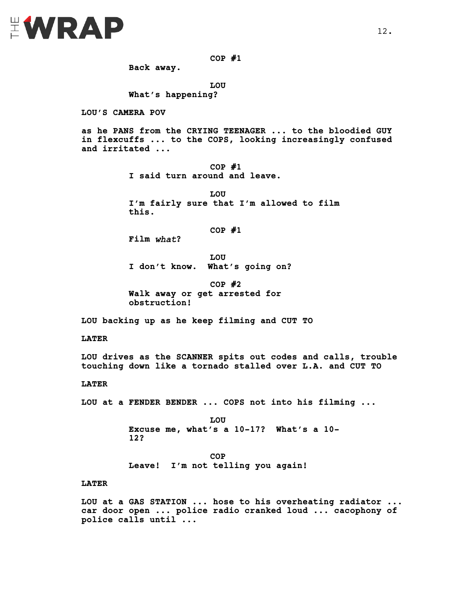

**COP #1**

**Back away.**

**LOU What's happening?**

**LOU'S CAMERA POV**

**as he PANS from the CRYING TEENAGER ... to the bloodied GUY in flexcuffs ... to the COPS, looking increasingly confused and irritated ...**

> **COP #1 I said turn around and leave.**

**LOU I'm fairly sure that I'm allowed to film this.**

**COP #1**

**Film** *what***?** 

**LOU I don't know. What's going on?**

**COP #2 Walk away or get arrested for obstruction!**

**LOU backing up as he keep filming and CUT TO** 

**LATER** 

**LOU drives as the SCANNER spits out codes and calls, trouble touching down like a tornado stalled over L.A. and CUT TO** 

**LATER**

**LOU at a FENDER BENDER ... COPS not into his filming ...**

**LOU Excuse me, what's a 10-17? What's a 10- 12?**

**COP Leave! I'm not telling you again!**

#### **LATER**

**LOU at a GAS STATION ... hose to his overheating radiator ... car door open ... police radio cranked loud ... cacophony of police calls until ...**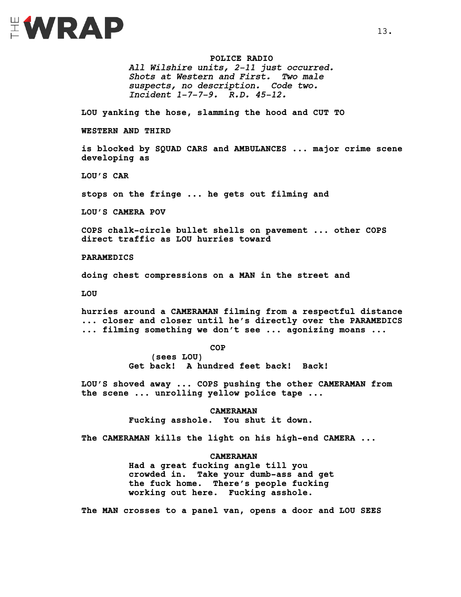

**POLICE RADIO** *All Wilshire units, 2-11 just occurred. Shots at Western and First. Two male suspects, no description. Code two. Incident 1-7-7-9. R.D. 45-12.*

**LOU yanking the hose, slamming the hood and CUT TO** 

**WESTERN AND THIRD**

**is blocked by SQUAD CARS and AMBULANCES ... major crime scene developing as** 

**LOU'S CAR** 

**stops on the fringe ... he gets out filming and** 

**LOU'S CAMERA POV** 

**COPS chalk-circle bullet shells on pavement ... other COPS direct traffic as LOU hurries toward** 

**PARAMEDICS** 

**doing chest compressions on a MAN in the street and** 

**LOU** 

**hurries around a CAMERAMAN filming from a respectful distance ... closer and closer until he's directly over the PARAMEDICS ... filming something we don't see ... agonizing moans ...** 

**COP**

**(sees LOU) Get back! A hundred feet back! Back!**

**LOU'S shoved away ... COPS pushing the other CAMERAMAN from the scene ... unrolling yellow police tape ...** 

#### **CAMERAMAN**

**Fucking asshole. You shut it down.**

**The CAMERAMAN kills the light on his high-end CAMERA ...** 

#### **CAMERAMAN**

**Had a great fucking angle till you crowded in. Take your dumb-ass and get the fuck home. There's people fucking working out here. Fucking asshole.**

**The MAN crosses to a panel van, opens a door and LOU SEES**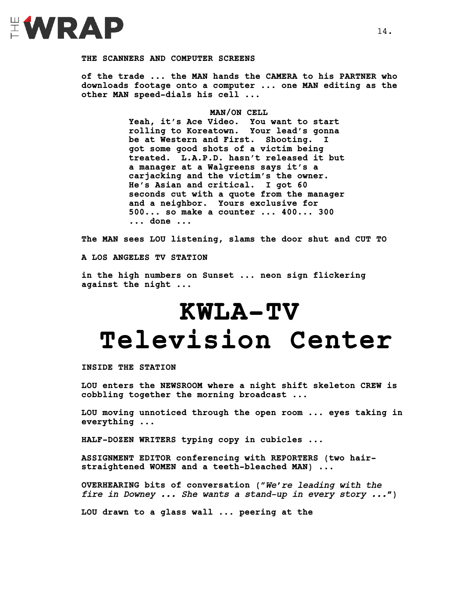

#### **THE SCANNERS AND COMPUTER SCREENS**

**of the trade ... the MAN hands the CAMERA to his PARTNER who downloads footage onto a computer ... one MAN editing as the other MAN speed-dials his cell ...**

> **MAN/ON CELL Yeah, it's Ace Video. You want to start rolling to Koreatown. Your lead's gonna be at Western and First. Shooting. I got some good shots of a victim being treated. L.A.P.D. hasn't released it but a manager at a Walgreens says it's a carjacking and the victim's the owner. He's Asian and critical. I got 60 seconds cut with a quote from the manager and a neighbor. Yours exclusive for 500... so make a counter ... 400... 300 ... done ...**

**The MAN sees LOU listening, slams the door shut and CUT TO** 

**A LOS ANGELES TV STATION** 

**in the high numbers on Sunset ... neon sign flickering against the night ...**

## **KWLA-TV Television Center**

**INSIDE THE STATION**

**LOU enters the NEWSROOM where a night shift skeleton CREW is cobbling together the morning broadcast ...** 

**LOU moving unnoticed through the open room ... eyes taking in everything ...**

**HALF-DOZEN WRITERS typing copy in cubicles ...** 

**ASSIGNMENT EDITOR conferencing with REPORTERS (two hairstraightened WOMEN and a teeth-bleached MAN) ...** 

**OVERHEARING bits of conversation ("***We're leading with the fire in Downey ... She wants a stand-up in every story ..."***)** 

**LOU drawn to a glass wall ... peering at the**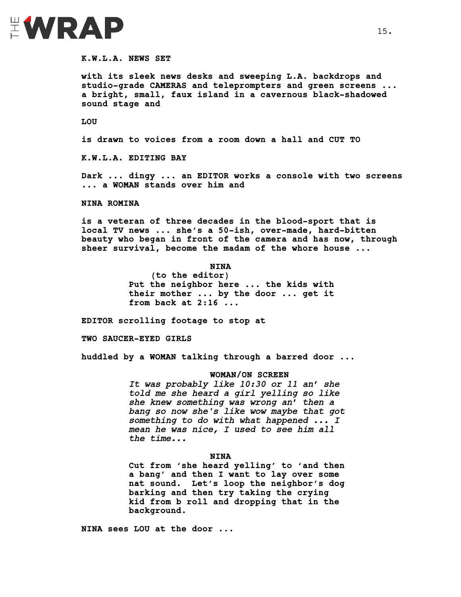

#### **K.W.L.A. NEWS SET**

**with its sleek news desks and sweeping L.A. backdrops and studio-grade CAMERAS and teleprompters and green screens ... a bright, small, faux island in a cavernous black-shadowed sound stage and** 

**LOU** 

**is drawn to voices from a room down a hall and CUT TO**

**K.W.L.A. EDITING BAY**

**Dark ... dingy ... an EDITOR works a console with two screens ... a WOMAN stands over him and** 

**NINA ROMINA** 

**is a veteran of three decades in the blood-sport that is local TV news ... she's a 50-ish, over-made, hard-bitten beauty who began in front of the camera and has now, through sheer survival, become the madam of the whore house ...** 

**NINA**

**(to the editor) Put the neighbor here ... the kids with their mother ... by the door ... get it from back at 2:16 ...**

**EDITOR scrolling footage to stop at** 

**TWO SAUCER-EYED GIRLS** 

**huddled by a WOMAN talking through a barred door ...**

#### **WOMAN/ON SCREEN**

*It was probably like 10:30 or 11 an' she told me she heard a girl yelling so like she knew something was wrong an' then a bang so now she's like wow maybe that got something to do with what happened ... I mean he was nice, I used to see him all the time...* 

#### **NINA**

**Cut from 'she heard yelling' to 'and then a bang' and then I want to lay over some nat sound. Let's loop the neighbor's dog barking and then try taking the crying kid from b roll and dropping that in the background.** 

**NINA sees LOU at the door ...**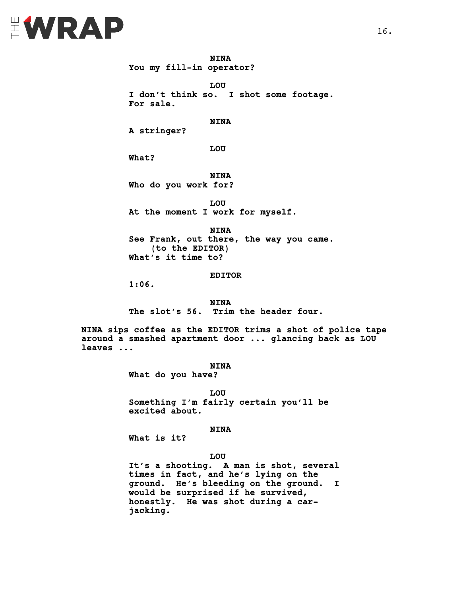# EWRAP

**NINA You my fill-in operator?**

**LOU I don't think so. I shot some footage. For sale.** 

#### **NINA**

**A stringer?**

**LOU**

**What?**

**NINA Who do you work for?** 

**LOU At the moment I work for myself.**

**NINA See Frank, out there, the way you came. (to the EDITOR) What's it time to?**

#### **EDITOR**

**1:06.** 

**NINA**

**The slot's 56. Trim the header four.**

**NINA sips coffee as the EDITOR trims a shot of police tape around a smashed apartment door ... glancing back as LOU leaves ...** 

**NINA**

**What do you have?**

**LOU Something I'm fairly certain you'll be excited about.**

**NINA**

**What is it?**

#### **LOU**

**It's a shooting. A man is shot, several times in fact, and he's lying on the ground. He's bleeding on the ground. I would be surprised if he survived, honestly. He was shot during a carjacking.**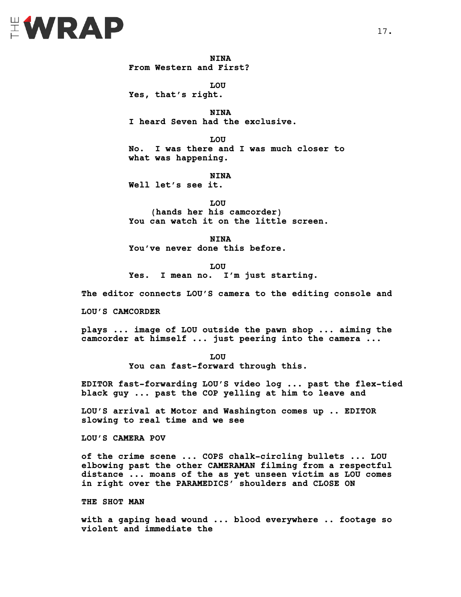

**NINA From Western and First?**

**LOU Yes, that's right.** 

**NINA I heard Seven had the exclusive.**

**LOU No. I was there and I was much closer to what was happening.**

**NINA Well let's see it.**

**LOU (hands her his camcorder) You can watch it on the little screen.**

**NINA You've never done this before.**

**LOU Yes. I mean no. I'm just starting.** 

**The editor connects LOU'S camera to the editing console and**

**LOU'S CAMCORDER**

**plays ... image of LOU outside the pawn shop ... aiming the camcorder at himself ... just peering into the camera ...**

**LOU**

**You can fast-forward through this.**

**EDITOR fast-forwarding LOU'S video log ... past the flex-tied black guy ... past the COP yelling at him to leave and**

**LOU'S arrival at Motor and Washington comes up .. EDITOR slowing to real time and we see** 

**LOU'S CAMERA POV**

**of the crime scene ... COPS chalk-circling bullets ... LOU elbowing past the other CAMERAMAN filming from a respectful distance ... moans of the as yet unseen victim as LOU comes in right over the PARAMEDICS' shoulders and CLOSE ON** 

**THE SHOT MAN** 

**with a gaping head wound ... blood everywhere .. footage so violent and immediate the**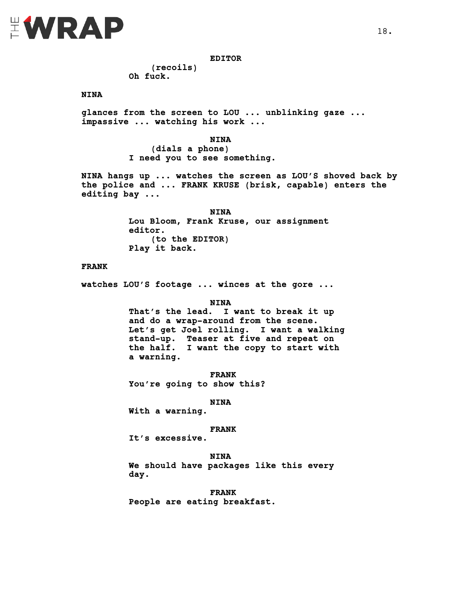

#### **EDITOR**

**(recoils) Oh fuck.**

#### **NINA**

**glances from the screen to LOU ... unblinking gaze ... impassive ... watching his work ...**

**NINA**

**(dials a phone) I need you to see something.** 

**NINA hangs up ... watches the screen as LOU'S shoved back by the police and ... FRANK KRUSE (brisk, capable) enters the editing bay ...** 

> **NINA Lou Bloom, Frank Kruse, our assignment editor. (to the EDITOR) Play it back.**

#### **FRANK**

**watches LOU'S footage ... winces at the gore ...**

#### **NINA**

**That's the lead. I want to break it up and do a wrap-around from the scene. Let's get Joel rolling. I want a walking stand-up. Teaser at five and repeat on the half. I want the copy to start with a warning.**

**FRANK You're going to show this?**

#### **NINA**

**With a warning.** 

#### **FRANK**

**It's excessive.**

#### **NINA**

**We should have packages like this every day.** 

**FRANK People are eating breakfast.**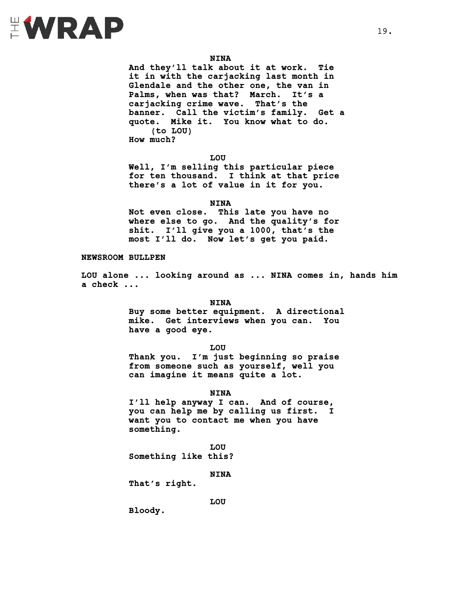

#### **NINA**

**And they'll talk about it at work. Tie it in with the carjacking last month in Glendale and the other one, the van in Palms, when was that? March. It's a carjacking crime wave. That's the banner. Call the victim's family. Get a quote. Mike it. You know what to do. (to LOU) How much?**

#### **LOU**

**Well, I'm selling this particular piece for ten thousand. I think at that price there's a lot of value in it for you.**

**NINA**

**Not even close. This late you have no where else to go. And the quality's for shit. I'll give you a 1000, that's the most I'll do. Now let's get you paid.**

#### **NEWSROOM BULLPEN**

**LOU alone ... looking around as ... NINA comes in, hands him a check ...** 

> **NINA Buy some better equipment. A directional mike. Get interviews when you can. You have a good eye.**

> > **LOU**

**Thank you. I'm just beginning so praise from someone such as yourself, well you can imagine it means quite a lot.** 

**NINA**

**I'll help anyway I can. And of course, you can help me by calling us first. I want you to contact me when you have something.** 

**LOU Something like this?**

**NINA**

**That's right.** 

**LOU**

**Bloody.**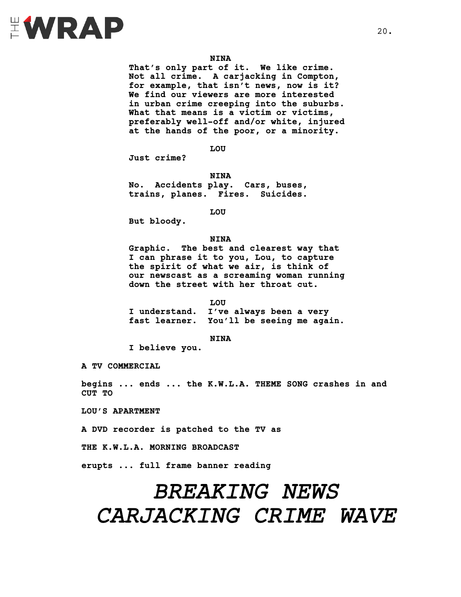

#### **NINA**

**That's only part of it. We like crime. Not all crime. A carjacking in Compton, for example, that isn't news, now is it? We find our viewers are more interested in urban crime creeping into the suburbs. What that means is a victim or victims, preferably well-off and/or white, injured at the hands of the poor, or a minority.** 

**LOU**

**Just crime?**

**NINA No. Accidents play. Cars, buses, trains, planes. Fires. Suicides.**

**LOU**

**But bloody.**

#### **NINA**

**Graphic. The best and clearest way that I can phrase it to you, Lou, to capture the spirit of what we air, is think of our newscast as a screaming woman running down the street with her throat cut.**

**LOU I understand. I've always been a very fast learner. You'll be seeing me again.** 

#### **NINA**

**I believe you.**

**A TV COMMERCIAL** 

**begins ... ends ... the K.W.L.A. THEME SONG crashes in and CUT TO**

**LOU'S APARTMENT**

**A DVD recorder is patched to the TV as** 

**THE K.W.L.A. MORNING BROADCAST** 

**erupts ... full frame banner reading** 

### *BREAKING NEWS CARJACKING CRIME WAVE*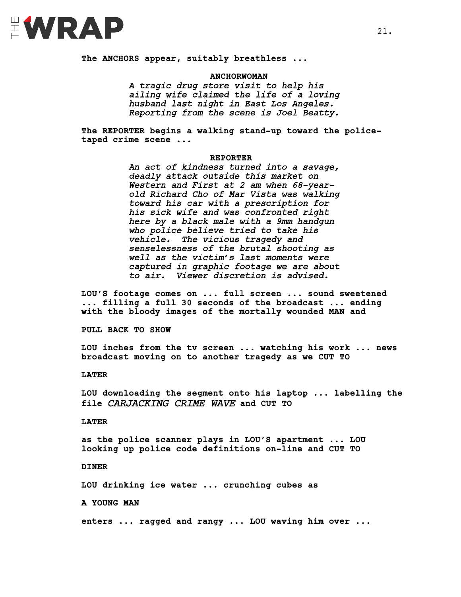

**The ANCHORS appear, suitably breathless ...**

**ANCHORWOMAN** *A tragic drug store visit to help his ailing wife claimed the life of a loving husband last night in East Los Angeles. Reporting from the scene is Joel Beatty.* 

**The REPORTER begins a walking stand-up toward the policetaped crime scene ...**

#### **REPORTER**

*An act of kindness turned into a savage, deadly attack outside this market on Western and First at 2 am when 68-yearold Richard Cho of Mar Vista was walking toward his car with a prescription for his sick wife and was confronted right here by a black male with a 9mm handgun who police believe tried to take his vehicle. The vicious tragedy and senselessness of the brutal shooting as well as the victim's last moments were captured in graphic footage we are about to air. Viewer discretion is advised.* 

**LOU'S footage comes on ... full screen ... sound sweetened ... filling a full 30 seconds of the broadcast ... ending with the bloody images of the mortally wounded MAN and**

**PULL BACK TO SHOW**

**LOU inches from the tv screen ... watching his work ... news broadcast moving on to another tragedy as we CUT TO** 

**LATER**

**LOU downloading the segment onto his laptop ... labelling the file** *CARJACKING CRIME WAVE* **and CUT TO** 

**LATER**

**as the police scanner plays in LOU'S apartment ... LOU looking up police code definitions on-line and CUT TO** 

**DINER**

**LOU drinking ice water ... crunching cubes as**

**A YOUNG MAN** 

**enters ... ragged and rangy ... LOU waving him over ...**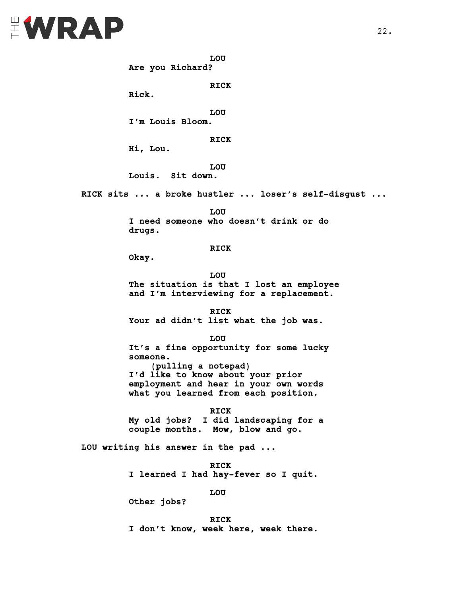# EWRAP

**LOU**

**Are you Richard?**

**RICK**

**Rick.**

**LOU I'm Louis Bloom.** 

**RICK**

**Hi, Lou.**

**LOU**

**Louis. Sit down.**

**RICK sits ... a broke hustler ... loser's self-disgust ...** 

**LOU I need someone who doesn't drink or do drugs.** 

**RICK**

**Okay.** 

**LOU The situation is that I lost an employee and I'm interviewing for a replacement.**

**RICK Your ad didn't list what the job was.**

**LOU It's a fine opportunity for some lucky someone. (pulling a notepad) I'd like to know about your prior employment and hear in your own words what you learned from each position.** 

**RICK My old jobs? I did landscaping for a couple months. Mow, blow and go.** 

**LOU writing his answer in the pad ...**

**RICK I learned I had hay-fever so I quit.** 

**LOU**

**Other jobs?**

**RICK I don't know, week here, week there.**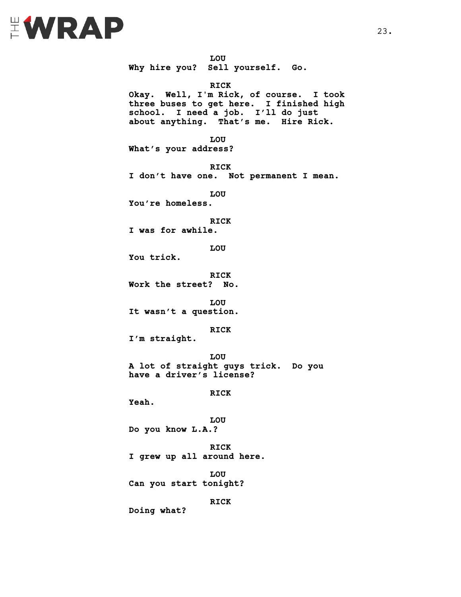

**LOU Why hire you? Sell yourself. Go. RICK Okay. Well, I'm Rick, of course. I took three buses to get here. I finished high school. I need a job. I'll do just about anything. That's me. Hire Rick. LOU What's your address? RICK I don't have one. Not permanent I mean. LOU You're homeless. RICK I was for awhile. LOU You trick. RICK Work the street? No. LOU It wasn't a question. RICK I'm straight. LOU A lot of straight guys trick. Do you have a driver's license? RICK Yeah. LOU Do you know L.A.? RICK I grew up all around here. LOU Can you start tonight? RICK Doing what?**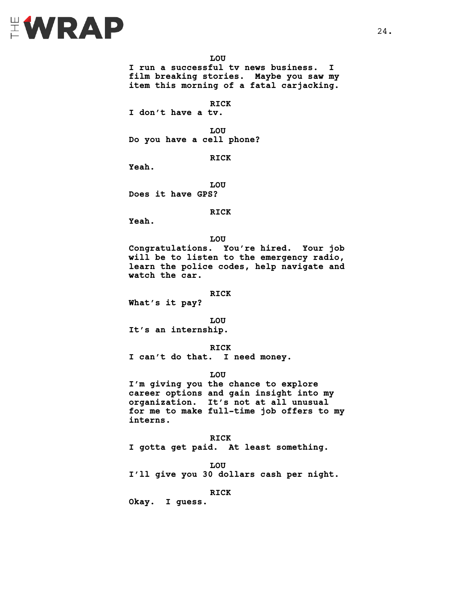

**LOU I run a successful tv news business. I film breaking stories. Maybe you saw my item this morning of a fatal carjacking.**

**RICK**

**I don't have a tv.**

**LOU**

**Do you have a cell phone?**

**RICK**

**Yeah.**

**LOU Does it have GPS?**

**RICK**

**Yeah.**

**LOU Congratulations. You're hired. Your job will be to listen to the emergency radio, learn the police codes, help navigate and watch the car.** 

**RICK**

**What's it pay?**

**LOU It's an internship.**

**RICK I can't do that. I need money.** 

**LOU**

**I'm giving you the chance to explore career options and gain insight into my organization. It's not at all unusual for me to make full-time job offers to my interns.**

**RICK I gotta get paid. At least something.**

**LOU I'll give you 30 dollars cash per night.** 

**RICK**

**Okay. I guess.**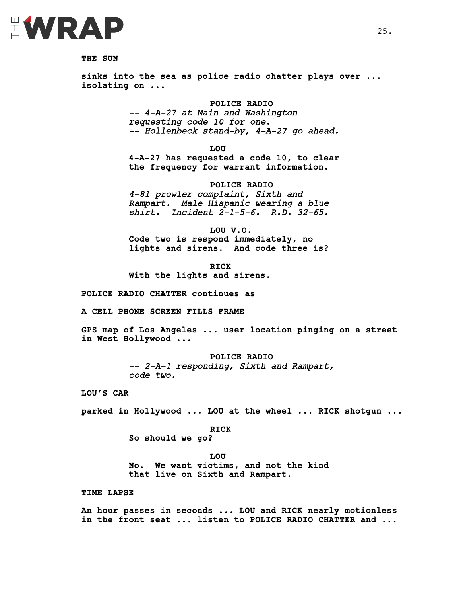

**THE SUN** 

**sinks into the sea as police radio chatter plays over ... isolating on ...**

> **POLICE RADIO** *-- 4-A-27 at Main and Washington requesting code 10 for one. -- Hollenbeck stand-by, 4-A-27 go ahead.*

> > **LOU**

**4-A-27 has requested a code 10, to clear the frequency for warrant information.**

**POLICE RADIO** *4-81 prowler complaint, Sixth and Rampart. Male Hispanic wearing a blue shirt. Incident 2-1-5-6. R.D. 32-65.*

**LOU V.O. Code two is respond immediately, no lights and sirens. And code three is?** 

**RICK With the lights and sirens.**

**POLICE RADIO CHATTER continues as**

**A CELL PHONE SCREEN FILLS FRAME** 

**GPS map of Los Angeles ... user location pinging on a street in West Hollywood ...** 

> **POLICE RADIO**  *-- 2-A-1 responding, Sixth and Rampart, code two.*

**LOU'S CAR**

**parked in Hollywood ... LOU at the wheel ... RICK shotgun ...**

**RICK**

**So should we go?**

**LOU**

**No. We want victims, and not the kind that live on Sixth and Rampart.** 

**TIME LAPSE**

**An hour passes in seconds ... LOU and RICK nearly motionless in the front seat ... listen to POLICE RADIO CHATTER and ...**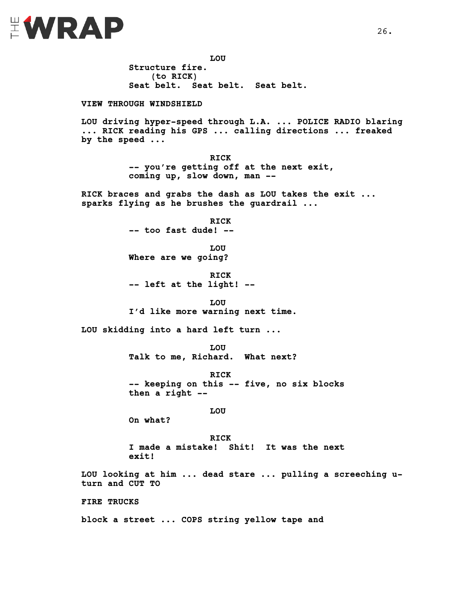

**LOU Structure fire. (to RICK) Seat belt. Seat belt. Seat belt.**

**VIEW THROUGH WINDSHIELD** 

**LOU driving hyper-speed through L.A. ... POLICE RADIO blaring ... RICK reading his GPS ... calling directions ... freaked by the speed ...**

> **RICK -- you're getting off at the next exit, coming up, slow down, man --**

**RICK braces and grabs the dash as LOU takes the exit ... sparks flying as he brushes the guardrail ...** 

> **RICK -- too fast dude! --**

**LOU Where are we going?**

**RICK -- left at the light! --**

**LOU I'd like more warning next time.**

**LOU skidding into a hard left turn ...**

**LOU Talk to me, Richard. What next?**

**RICK -- keeping on this -- five, no six blocks then a right --**

**LOU**

**On what?**

**RICK I made a mistake! Shit! It was the next exit!**

**LOU looking at him ... dead stare ... pulling a screeching uturn and CUT TO**

**FIRE TRUCKS** 

**block a street ... COPS string yellow tape and**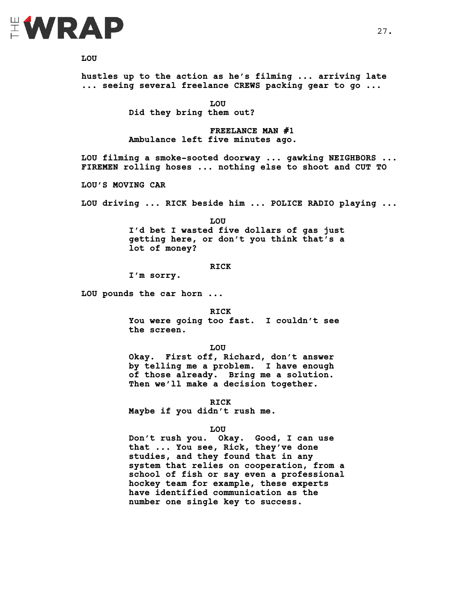

**LOU**

**hustles up to the action as he's filming ... arriving late ... seeing several freelance CREWS packing gear to go ...**

> **LOU Did they bring them out?**

**FREELANCE MAN #1 Ambulance left five minutes ago.**

**LOU filming a smoke-sooted doorway ... gawking NEIGHBORS ... FIREMEN rolling hoses ... nothing else to shoot and CUT TO**

**LOU'S MOVING CAR**

**LOU driving ... RICK beside him ... POLICE RADIO playing ...** 

**LOU I'd bet I wasted five dollars of gas just getting here, or don't you think that's a lot of money?** 

#### **RICK**

**I'm sorry.**

**LOU pounds the car horn ...** 

**RICK**

**You were going too fast. I couldn't see the screen.**

#### **LOU**

**Okay. First off, Richard, don't answer by telling me a problem. I have enough of those already. Bring me a solution. Then we'll make a decision together.**

**RICK**

**Maybe if you didn't rush me.** 

#### **LOU**

**Don't rush you. Okay. Good, I can use that ... You see, Rick, they've done studies, and they found that in any system that relies on cooperation, from a school of fish or say even a professional hockey team for example, these experts have identified communication as the number one single key to success.**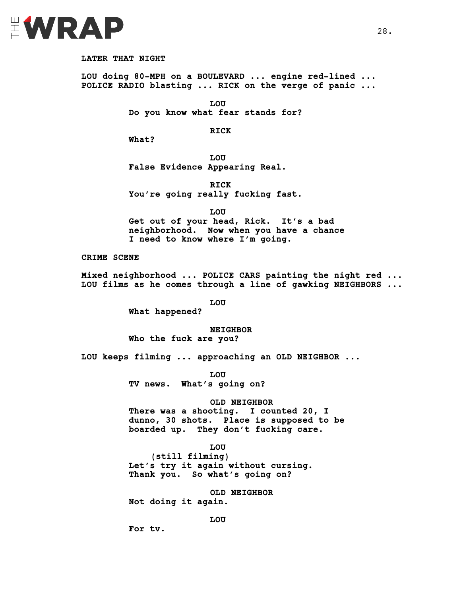

#### **LATER THAT NIGHT**

**LOU doing 80-MPH on a BOULEVARD ... engine red-lined ... POLICE RADIO blasting ... RICK on the verge of panic ...** 

> **LOU Do you know what fear stands for?**

> > **RICK**

**What?**

**LOU False Evidence Appearing Real.** 

**RICK You're going really fucking fast.**

**LOU**

**Get out of your head, Rick. It's a bad neighborhood. Now when you have a chance I need to know where I'm going.** 

#### **CRIME SCENE**

**Mixed neighborhood ... POLICE CARS painting the night red ... LOU films as he comes through a line of gawking NEIGHBORS ...**

**LOU**

**What happened?**

**NEIGHBOR**

**Who the fuck are you?** 

**LOU keeps filming ... approaching an OLD NEIGHBOR ...**

**LOU TV news. What's going on?**

#### **OLD NEIGHBOR**

**There was a shooting. I counted 20, I dunno, 30 shots. Place is supposed to be boarded up. They don't fucking care.** 

**LOU**

**(still filming) Let's try it again without cursing. Thank you. So what's going on?** 

**OLD NEIGHBOR**

**Not doing it again.**

**LOU**

**For tv.**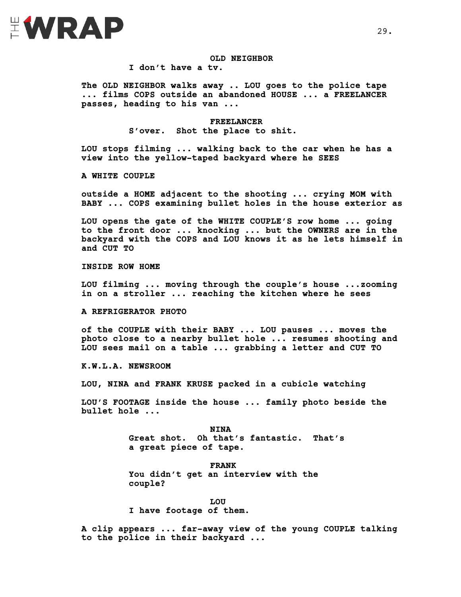

**OLD NEIGHBOR**

**I don't have a tv.**

**The OLD NEIGHBOR walks away .. LOU goes to the police tape ... films COPS outside an abandoned HOUSE ... a FREELANCER passes, heading to his van ...**

> **FREELANCER S'over. Shot the place to shit.**

**LOU stops filming ... walking back to the car when he has a view into the yellow-taped backyard where he SEES** 

**A WHITE COUPLE** 

**outside a HOME adjacent to the shooting ... crying MOM with BABY ... COPS examining bullet holes in the house exterior as** 

**LOU opens the gate of the WHITE COUPLE'S row home ... going to the front door ... knocking ... but the OWNERS are in the backyard with the COPS and LOU knows it as he lets himself in and CUT TO** 

**INSIDE ROW HOME**

**LOU filming ... moving through the couple's house ...zooming in on a stroller ... reaching the kitchen where he sees** 

**A REFRIGERATOR PHOTO** 

**of the COUPLE with their BABY ... LOU pauses ... moves the photo close to a nearby bullet hole ... resumes shooting and LOU sees mail on a table ... grabbing a letter and CUT TO**

**K.W.L.A. NEWSROOM**

**LOU, NINA and FRANK KRUSE packed in a cubicle watching** 

**LOU'S FOOTAGE inside the house ... family photo beside the bullet hole ...**

> **NINA Great shot. Oh that's fantastic. That's a great piece of tape.**

**FRANK You didn't get an interview with the couple?**

**LOU I have footage of them.** 

**A clip appears ... far-away view of the young COUPLE talking to the police in their backyard ...**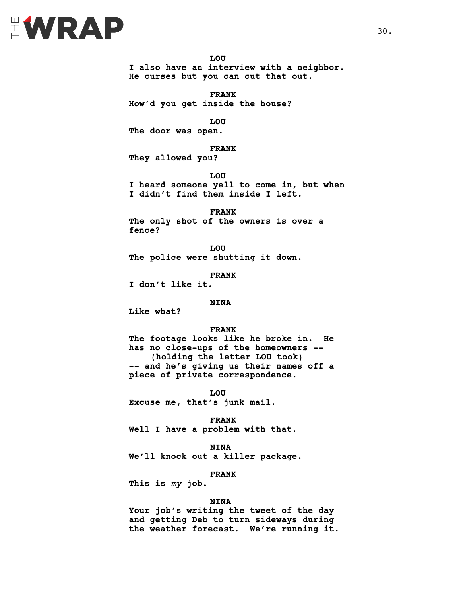

**LOU I also have an interview with a neighbor. He curses but you can cut that out.**

**FRANK How'd you get inside the house?**

**LOU The door was open.**

**FRANK They allowed you?**

**LOU I heard someone yell to come in, but when** 

**I didn't find them inside I left.**

**FRANK The only shot of the owners is over a fence?**

**LOU The police were shutting it down.**

**FRANK**

**I don't like it.**

#### **NINA**

**Like what?**

#### **FRANK**

**The footage looks like he broke in. He has no close-ups of the homeowners -- (holding the letter LOU took) -- and he's giving us their names off a piece of private correspondence.**

**LOU Excuse me, that's junk mail.**

**FRANK**

**Well I have a problem with that.**

**NINA We'll knock out a killer package.**

**FRANK**

**This is** *my* **job.** 

#### **NINA**

**Your job's writing the tweet of the day and getting Deb to turn sideways during the weather forecast. We're running it.**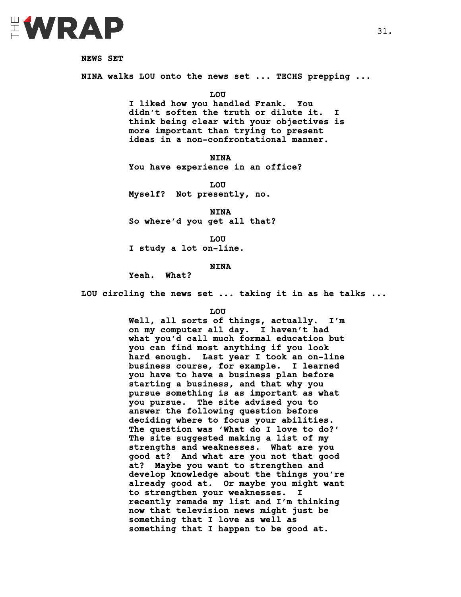

**NEWS SET**

**NINA walks LOU onto the news set ... TECHS prepping ...** 

**LOU**

**I liked how you handled Frank. You didn't soften the truth or dilute it. I think being clear with your objectives is more important than trying to present ideas in a non-confrontational manner.** 

**NINA**

**You have experience in an office?**

**LOU Myself? Not presently, no.** 

**NINA So where'd you get all that?**

**LOU I study a lot on-line.**

**NINA**

**Yeah. What?**

**LOU circling the news set ... taking it in as he talks ...**

**LOU**

**Well, all sorts of things, actually. I'm on my computer all day. I haven't had what you'd call much formal education but you can find most anything if you look hard enough. Last year I took an on-line business course, for example. I learned you have to have a business plan before starting a business, and that why you pursue something is as important as what you pursue. The site advised you to answer the following question before deciding where to focus your abilities. The question was 'What do I love to do?' The site suggested making a list of my strengths and weaknesses. What are you good at? And what are you not that good at? Maybe you want to strengthen and develop knowledge about the things you're already good at. Or maybe you might want to strengthen your weaknesses. I recently remade my list and I'm thinking now that television news might just be something that I love as well as something that I happen to be good at.**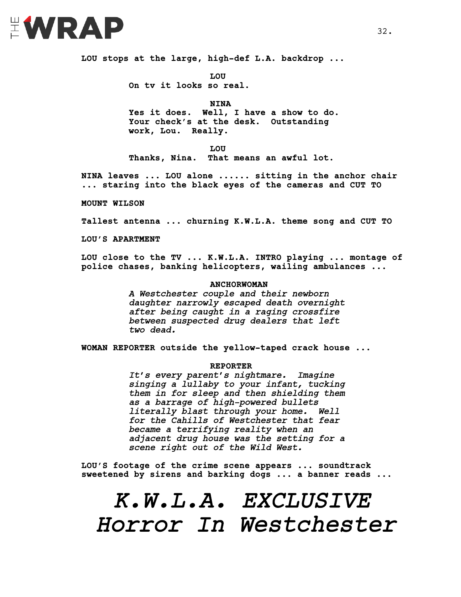

**LOU stops at the large, high-def L.A. backdrop ...**

**LOU On tv it looks so real.**

**NINA Yes it does. Well, I have a show to do. Your check's at the desk. Outstanding work, Lou. Really.** 

**LOU Thanks, Nina. That means an awful lot.**

**NINA leaves ... LOU alone ...... sitting in the anchor chair ... staring into the black eyes of the cameras and CUT TO**

**MOUNT WILSON**

**Tallest antenna ... churning K.W.L.A. theme song and CUT TO**

**LOU'S APARTMENT**

**LOU close to the TV ... K.W.L.A. INTRO playing ... montage of police chases, banking helicopters, wailing ambulances ...**

#### **ANCHORWOMAN**

*A Westchester couple and their newborn daughter narrowly escaped death overnight after being caught in a raging crossfire between suspected drug dealers that left two dead.* 

**WOMAN REPORTER outside the yellow-taped crack house ...** 

#### **REPORTER**

*It's every parent's nightmare. Imagine singing a lullaby to your infant, tucking them in for sleep and then shielding them as a barrage of high-powered bullets literally blast through your home. Well for the Cahills of Westchester that fear became a terrifying reality when an adjacent drug house was the setting for a scene right out of the Wild West.* 

**LOU'S footage of the crime scene appears ... soundtrack sweetened by sirens and barking dogs ... a banner reads ...**

### *K.W.L.A. EXCLUSIVE Horror In Westchester*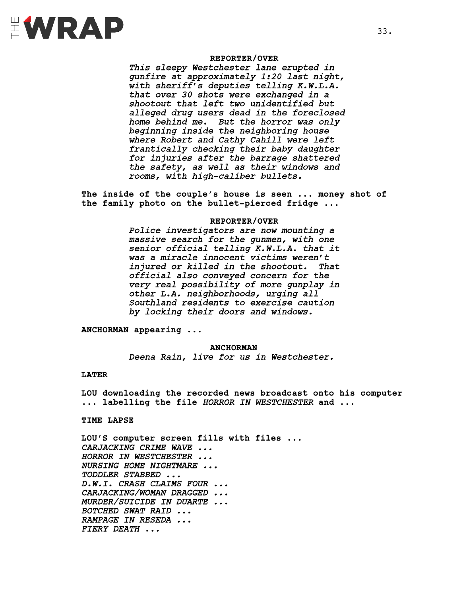

#### **REPORTER/OVER**

*This sleepy Westchester lane erupted in gunfire at approximately 1:20 last night, with sheriff's deputies telling K.W.L.A. that over 30 shots were exchanged in a shootout that left two unidentified but alleged drug users dead in the foreclosed home behind me. But the horror was only beginning inside the neighboring house where Robert and Cathy Cahill were left frantically checking their baby daughter for injuries after the barrage shattered the safety, as well as their windows and rooms, with high-caliber bullets.* 

**The inside of the couple's house is seen ... money shot of the family photo on the bullet-pierced fridge ...**

#### **REPORTER/OVER**

*Police investigators are now mounting a massive search for the gunmen, with one senior official telling K.W.L.A. that it was a miracle innocent victims weren't injured or killed in the shootout. That official also conveyed concern for the very real possibility of more gunplay in other L.A. neighborhoods, urging all Southland residents to exercise caution by locking their doors and windows.* 

**ANCHORMAN appearing ...** 

**ANCHORMAN** *Deena Rain, live for us in Westchester.* 

#### **LATER**

**LOU downloading the recorded news broadcast onto his computer ... labelling the file** *HORROR IN WESTCHESTER* **and ...**

#### **TIME LAPSE**

**LOU'S computer screen fills with files ...** *CARJACKING CRIME WAVE ... HORROR IN WESTCHESTER ... NURSING HOME NIGHTMARE ... TODDLER STABBED ... D.W.I. CRASH CLAIMS FOUR ... CARJACKING/WOMAN DRAGGED ... MURDER/SUICIDE IN DUARTE ... BOTCHED SWAT RAID ... RAMPAGE IN RESEDA ... FIERY DEATH ...*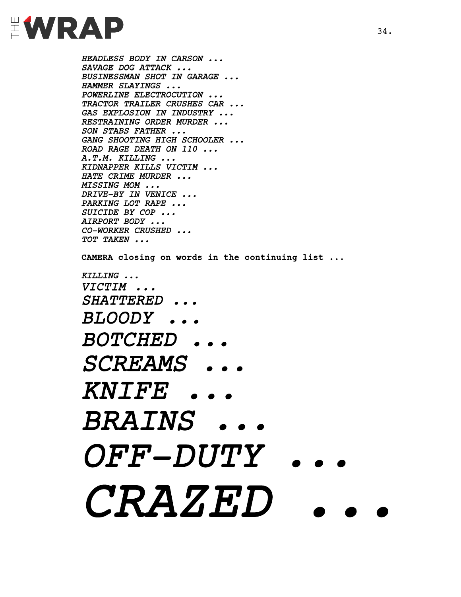

*HEADLESS BODY IN CARSON ... SAVAGE DOG ATTACK ... BUSINESSMAN SHOT IN GARAGE ... HAMMER SLAYINGS ... POWERLINE ELECTROCUTION ... TRACTOR TRAILER CRUSHES CAR ... GAS EXPLOSION IN INDUSTRY ... RESTRAINING ORDER MURDER ... SON STABS FATHER ... GANG SHOOTING HIGH SCHOOLER ... ROAD RAGE DEATH ON 110 ... A.T.M. KILLING ... KIDNAPPER KILLS VICTIM ... HATE CRIME MURDER ... MISSING MOM ... DRIVE-BY IN VENICE ... PARKING LOT RAPE ... SUICIDE BY COP ... AIRPORT BODY ... CO-WORKER CRUSHED ... TOT TAKEN ...* **CAMERA closing on words in the continuing list ...** *KILLING ... VICTIM ... SHATTERED ... BLOODY ... BOTCHED ...*

*SCREAMS ...* 

*KNIFE ... BRAINS ...*

 $OFF-DUTY$  $\it{CRAZED}$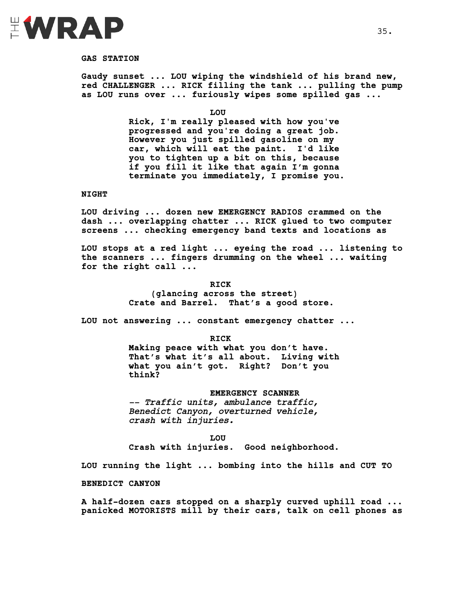

#### **GAS STATION**

**Gaudy sunset ... LOU wiping the windshield of his brand new, red CHALLENGER ... RICK filling the tank ... pulling the pump as LOU runs over ... furiously wipes some spilled gas ...** 

**LOU**

**Rick, I'm really pleased with how you've progressed and you're doing a great job. However you just spilled gasoline on my car, which will eat the paint. I'd like you to tighten up a bit on this, because if you fill it like that again I'm gonna terminate you immediately, I promise you.** 

**NIGHT**

**LOU driving ... dozen new EMERGENCY RADIOS crammed on the dash ... overlapping chatter ... RICK glued to two computer screens ... checking emergency band texts and locations as**

**LOU stops at a red light ... eyeing the road ... listening to the scanners ... fingers drumming on the wheel ... waiting for the right call ...** 

**RICK**

**(glancing across the street) Crate and Barrel. That's a good store.**

**LOU not answering ... constant emergency chatter ...** 

**RICK**

**Making peace with what you don't have. That's what it's all about. Living with what you ain't got. Right? Don't you think?**

**EMERGENCY SCANNER** *-- Traffic units, ambulance traffic, Benedict Canyon, overturned vehicle, crash with injuries.*

**LOU Crash with injuries. Good neighborhood.**

**LOU running the light ... bombing into the hills and CUT TO**

**BENEDICT CANYON**

**A half-dozen cars stopped on a sharply curved uphill road ... panicked MOTORISTS mill by their cars, talk on cell phones as**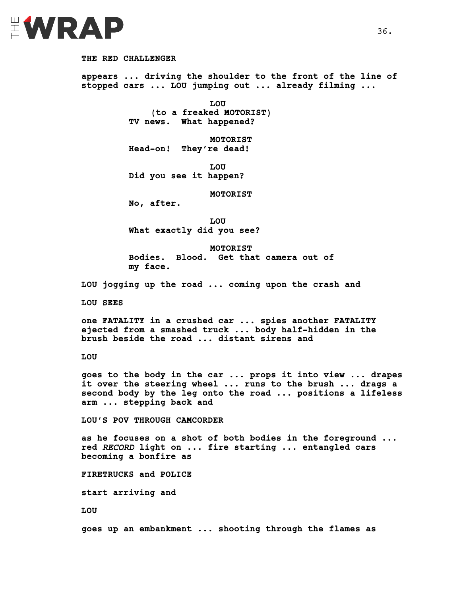

**THE RED CHALLENGER appears ... driving the shoulder to the front of the line of stopped cars ... LOU jumping out ... already filming ... LOU (to a freaked MOTORIST) TV news. What happened? MOTORIST Head-on! They're dead! LOU Did you see it happen? MOTORIST**

**No, after.** 

**LOU What exactly did you see?** 

**MOTORIST Bodies. Blood. Get that camera out of my face.**

**LOU jogging up the road ... coming upon the crash and** 

**LOU SEES**

**one FATALITY in a crushed car ... spies another FATALITY ejected from a smashed truck ... body half-hidden in the brush beside the road ... distant sirens and** 

**LOU** 

**goes to the body in the car ... props it into view ... drapes it over the steering wheel ... runs to the brush ... drags a second body by the leg onto the road ... positions a lifeless arm ... stepping back and** 

**LOU'S POV THROUGH CAMCORDER**

**as he focuses on a shot of both bodies in the foreground ... red** *RECORD* **light on ... fire starting ... entangled cars becoming a bonfire as**

**FIRETRUCKS and POLICE** 

**start arriving and** 

**LOU** 

**goes up an embankment ... shooting through the flames as**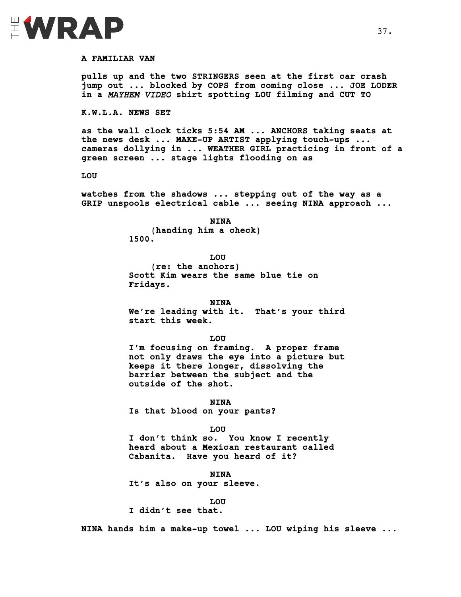

#### **A FAMILIAR VAN**

**pulls up and the two STRINGERS seen at the first car crash jump out ... blocked by COPS from coming close ... JOE LODER in a** *MAYHEM VIDEO* **shirt spotting LOU filming and CUT TO** 

**K.W.L.A. NEWS SET**

**as the wall clock ticks 5:54 AM ... ANCHORS taking seats at the news desk ... MAKE-UP ARTIST applying touch-ups ... cameras dollying in ... WEATHER GIRL practicing in front of a green screen ... stage lights flooding on as** 

#### **LOU**

**watches from the shadows ... stepping out of the way as a GRIP unspools electrical cable ... seeing NINA approach ...** 

> **NINA (handing him a check) 1500.**

> > **LOU**

**(re: the anchors) Scott Kim wears the same blue tie on Fridays.** 

**NINA We're leading with it. That's your third start this week.**

**LOU I'm focusing on framing. A proper frame not only draws the eye into a picture but keeps it there longer, dissolving the barrier between the subject and the outside of the shot.**

**NINA Is that blood on your pants?**

**LOU I don't think so. You know I recently heard about a Mexican restaurant called Cabanita. Have you heard of it?**

**NINA It's also on your sleeve.**

#### **LOU**

**I didn't see that.** 

**NINA hands him a make-up towel ... LOU wiping his sleeve ...**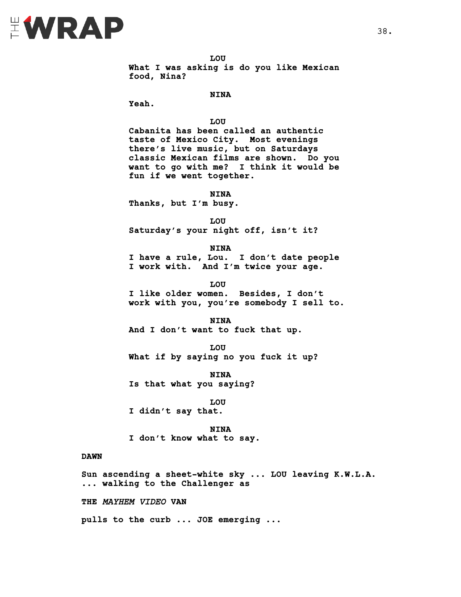### EWRAP

**LOU**

**What I was asking is do you like Mexican food, Nina?**

#### **NINA**

**Yeah.** 

#### **LOU**

**Cabanita has been called an authentic taste of Mexico City. Most evenings there's live music, but on Saturdays classic Mexican films are shown. Do you want to go with me? I think it would be fun if we went together.**

**NINA**

**Thanks, but I'm busy.**

**LOU Saturday's your night off, isn't it?** 

**NINA**

**I have a rule, Lou. I don't date people I work with. And I'm twice your age.**

**LOU**

**I like older women. Besides, I don't work with you, you're somebody I sell to.**

**NINA And I don't want to fuck that up.** 

**LOU What if by saying no you fuck it up?**

**NINA Is that what you saying?**

**LOU I didn't say that.**

**NINA I don't know what to say.**

#### **DAWN**

**Sun ascending a sheet-white sky ... LOU leaving K.W.L.A. ... walking to the Challenger as**

**THE** *MAYHEM VIDEO* **VAN** 

**pulls to the curb ... JOE emerging ...**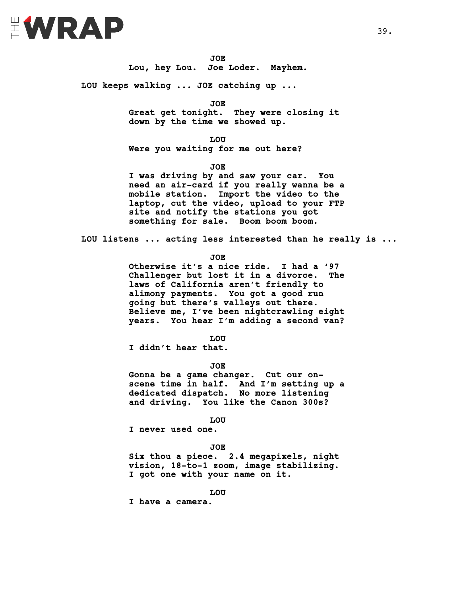

**JOE Lou, hey Lou. Joe Loder. Mayhem.** 

**LOU keeps walking ... JOE catching up ...**

**JOE**

**Great get tonight. They were closing it down by the time we showed up.** 

**LOU**

**Were you waiting for me out here?**

**JOE**

**I was driving by and saw your car. You need an air-card if you really wanna be a mobile station. Import the video to the laptop, cut the video, upload to your FTP site and notify the stations you got something for sale. Boom boom boom.** 

**LOU listens ... acting less interested than he really is ...**

**JOE**

**Otherwise it's a nice ride. I had a '97 Challenger but lost it in a divorce. The laws of California aren't friendly to alimony payments. You got a good run going but there's valleys out there. Believe me, I've been nightcrawling eight years. You hear I'm adding a second van?**

**LOU**

**I didn't hear that.**

**JOE**

**Gonna be a game changer. Cut our onscene time in half. And I'm setting up a dedicated dispatch. No more listening and driving. You like the Canon 300s?**

**LOU**

**I never used one.**

#### **JOE**

**Six thou a piece. 2.4 megapixels, night vision, 18-to-1 zoom, image stabilizing. I got one with your name on it.** 

**LOU**

**I have a camera.**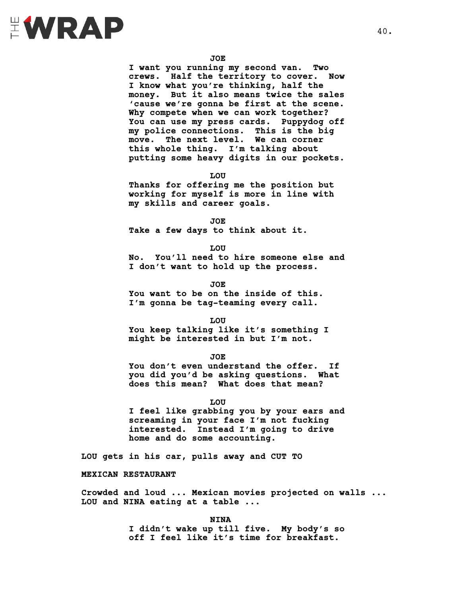

**I want you running my second van. Two crews. Half the territory to cover. Now I know what you're thinking, half the money. But it also means twice the sales 'cause we're gonna be first at the scene. Why compete when we can work together? You can use my press cards. Puppydog off my police connections. This is the big move. The next level. We can corner this whole thing. I'm talking about putting some heavy digits in our pockets.** 

**LOU**

**Thanks for offering me the position but working for myself is more in line with my skills and career goals.**

**JOE Take a few days to think about it.**

**LOU**

**No. You'll need to hire someone else and I don't want to hold up the process.**

**JOE**

**You want to be on the inside of this. I'm gonna be tag-teaming every call.** 

**LOU**

**You keep talking like it's something I might be interested in but I'm not.**

**JOE**

**You don't even understand the offer. If you did you'd be asking questions. What does this mean? What does that mean?** 

**LOU**

**I feel like grabbing you by your ears and screaming in your face I'm not fucking interested. Instead I'm going to drive home and do some accounting.**

**LOU gets in his car, pulls away and CUT TO**

**MEXICAN RESTAURANT**

**Crowded and loud ... Mexican movies projected on walls ... LOU and NINA eating at a table ...** 

**NINA**

**I didn't wake up till five. My body's so off I feel like it's time for breakfast.**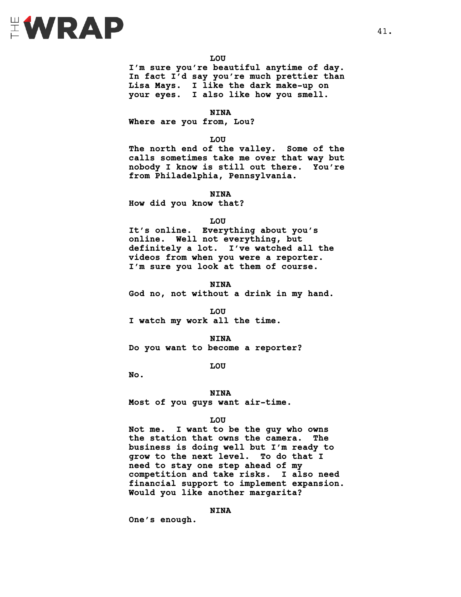

**I'm sure you're beautiful anytime of day. In fact I'd say you're much prettier than Lisa Mays. I like the dark make-up on your eyes. I also like how you smell.**

#### **NINA**

**Where are you from, Lou?**

#### **LOU**

**The north end of the valley. Some of the calls sometimes take me over that way but nobody I know is still out there. You're from Philadelphia, Pennsylvania.** 

**NINA**

**How did you know that?**

#### **LOU**

**It's online. Everything about you's online. Well not everything, but definitely a lot. I've watched all the videos from when you were a reporter. I'm sure you look at them of course.**

**NINA**

**God no, not without a drink in my hand.** 

**LOU**

**I watch my work all the time.** 

**NINA**

**Do you want to become a reporter?**

**LOU**

**No.**

#### **NINA**

**Most of you guys want air-time.**

#### **LOU**

**Not me. I want to be the guy who owns the station that owns the camera. The business is doing well but I'm ready to grow to the next level. To do that I need to stay one step ahead of my competition and take risks. I also need financial support to implement expansion. Would you like another margarita?**

**NINA**

**One's enough.**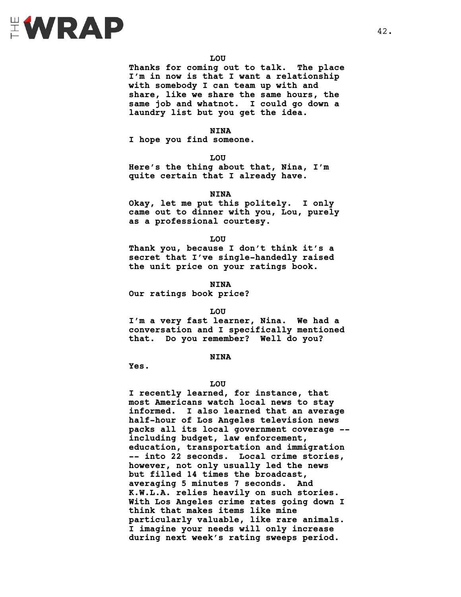

**Thanks for coming out to talk. The place I'm in now is that I want a relationship with somebody I can team up with and share, like we share the same hours, the same job and whatnot. I could go down a laundry list but you get the idea.** 

#### **NINA**

**I hope you find someone.**

**LOU**

**Here's the thing about that, Nina, I'm quite certain that I already have.**

**NINA**

**Okay, let me put this politely. I only came out to dinner with you, Lou, purely as a professional courtesy.**

**LOU**

**Thank you, because I don't think it's a secret that I've single-handedly raised the unit price on your ratings book.**

**NINA**

**Our ratings book price?**

**LOU**

**I'm a very fast learner, Nina. We had a conversation and I specifically mentioned that. Do you remember? Well do you?**

**NINA**

**Yes.**

#### **LOU**

**I recently learned, for instance, that most Americans watch local news to stay informed. I also learned that an average half-hour of Los Angeles television news packs all its local government coverage - including budget, law enforcement, education, transportation and immigration -- into 22 seconds. Local crime stories, however, not only usually led the news but filled 14 times the broadcast, averaging 5 minutes 7 seconds. And K.W.L.A. relies heavily on such stories. With Los Angeles crime rates going down I think that makes items like mine particularly valuable, like rare animals. I imagine your needs will only increase during next week's rating sweeps period.**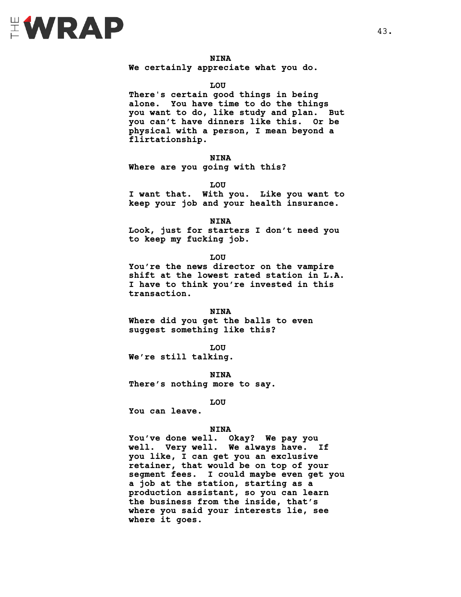

#### **NINA**

**We certainly appreciate what you do.**

#### **LOU**

**There's certain good things in being alone. You have time to do the things you want to do, like study and plan. But you can't have dinners like this. Or be physical with a person, I mean beyond a flirtationship.** 

#### **NINA**

**Where are you going with this?**

**LOU**

**I want that. With you. Like you want to keep your job and your health insurance.**

#### **NINA**

**Look, just for starters I don't need you to keep my fucking job.**

**LOU**

**You're the news director on the vampire shift at the lowest rated station in L.A. I have to think you're invested in this transaction.**

#### **NINA**

**Where did you get the balls to even suggest something like this?**

**LOU**

**We're still talking.**

**NINA**

**There's nothing more to say.**

**LOU**

**You can leave.**

#### **NINA**

**You've done well. Okay? We pay you well. Very well. We always have. If you like, I can get you an exclusive retainer, that would be on top of your segment fees. I could maybe even get you a job at the station, starting as a production assistant, so you can learn the business from the inside, that's where you said your interests lie, see where it goes.**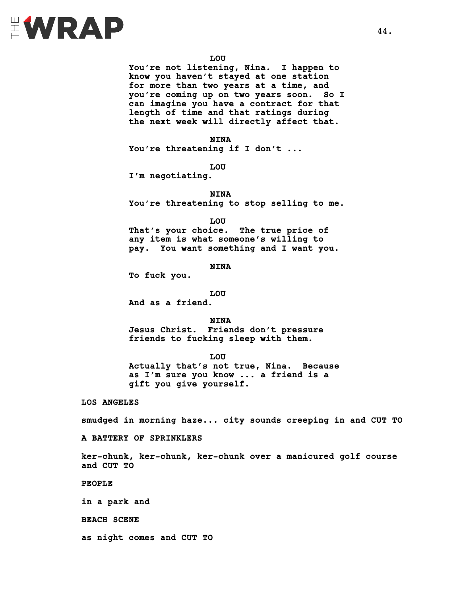

**You're not listening, Nina. I happen to know you haven't stayed at one station for more than two years at a time, and you're coming up on two years soon. So I can imagine you have a contract for that length of time and that ratings during the next week will directly affect that.** 

**NINA**

**You're threatening if I don't ...**

**LOU**

**I'm negotiating.**

**NINA**

**You're threatening to stop selling to me.**

**LOU**

**That's your choice. The true price of any item is what someone's willing to pay. You want something and I want you.**

**NINA**

**To fuck you.**

**LOU**

**And as a friend.**

**NINA**

**Jesus Christ. Friends don't pressure friends to fucking sleep with them.** 

**LOU**

**Actually that's not true, Nina. Because as I'm sure you know ... a friend is a gift you give yourself.** 

**LOS ANGELES**

**smudged in morning haze... city sounds creeping in and CUT TO** 

**A BATTERY OF SPRINKLERS** 

**ker-chunk, ker-chunk, ker-chunk over a manicured golf course and CUT TO** 

**PEOPLE** 

**in a park and**

**BEACH SCENE**

**as night comes and CUT TO**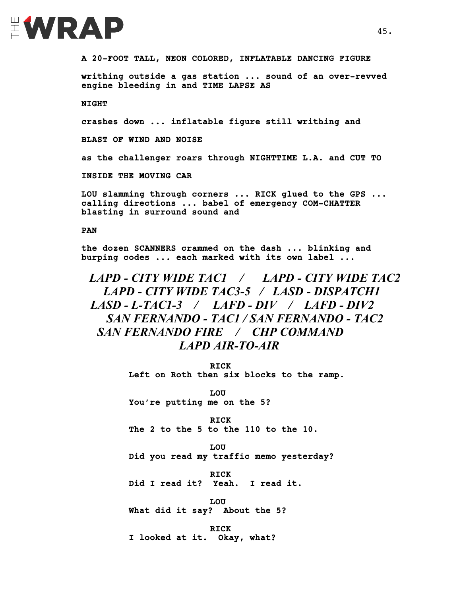### EWRAP

**A 20-FOOT TALL, NEON COLORED, INFLATABLE DANCING FIGURE** 

**writhing outside a gas station ... sound of an over-revved engine bleeding in and TIME LAPSE AS** 

**NIGHT**

**crashes down ... inflatable figure still writhing and**

**BLAST OF WIND AND NOISE** 

**as the challenger roars through NIGHTTIME L.A. and CUT TO** 

**INSIDE THE MOVING CAR** 

**LOU slamming through corners ... RICK glued to the GPS ... calling directions ... babel of emergency COM-CHATTER blasting in surround sound and** 

**PAN**

**the dozen SCANNERS crammed on the dash ... blinking and burping codes ... each marked with its own label ...** 

*LAPD - CITY WIDE TAC1 / LAPD - CITY WIDE TAC2 LAPD - CITY WIDE TAC3-5 / LASD - DISPATCH1 LASD - L-TAC1-3 / LAFD - DIV / LAFD - DIV2 SAN FERNANDO - TAC1 / SAN FERNANDO - TAC2 SAN FERNANDO FIRE / CHP COMMAND LAPD AIR-TO-AIR*

> **RICK Left on Roth then six blocks to the ramp.**

**LOU You're putting me on the 5?**

**RICK The 2 to the 5 to the 110 to the 10.**

**LOU Did you read my traffic memo yesterday?**

**RICK Did I read it? Yeah. I read it.**

**LOU What did it say? About the 5?** 

**RICK I looked at it. Okay, what?**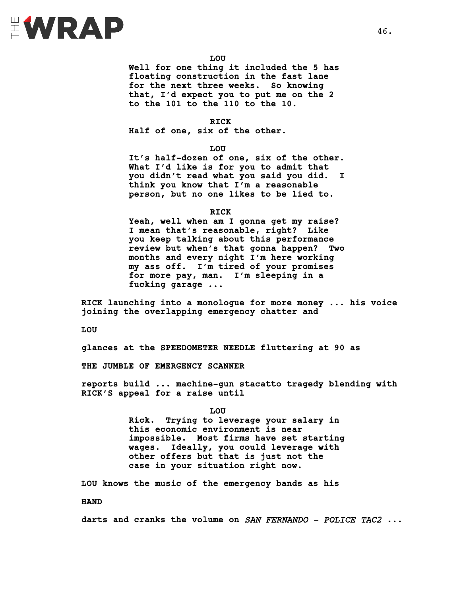

**Well for one thing it included the 5 has floating construction in the fast lane for the next three weeks. So knowing that, I'd expect you to put me on the 2 to the 101 to the 110 to the 10.**

**RICK**

**Half of one, six of the other.** 

**LOU**

**It's half-dozen of one, six of the other. What I'd like is for you to admit that you didn't read what you said you did. I think you know that I'm a reasonable person, but no one likes to be lied to.** 

**RICK**

**Yeah, well when am I gonna get my raise? I mean that's reasonable, right? Like you keep talking about this performance review but when's that gonna happen? Two months and every night I'm here working my ass off. I'm tired of your promises for more pay, man. I'm sleeping in a fucking garage ...** 

**RICK launching into a monologue for more money ... his voice joining the overlapping emergency chatter and** 

**LOU** 

**glances at the SPEEDOMETER NEEDLE fluttering at 90 as**

**THE JUMBLE OF EMERGENCY SCANNER**

**reports build ... machine-gun stacatto tragedy blending with RICK'S appeal for a raise until** 

> **LOU Rick. Trying to leverage your salary in this economic environment is near**

**impossible. Most firms have set starting wages. Ideally, you could leverage with other offers but that is just not the case in your situation right now.**

**LOU knows the music of the emergency bands as his** 

**HAND**

**darts and cranks the volume on** *SAN FERNANDO - POLICE TAC2* **...**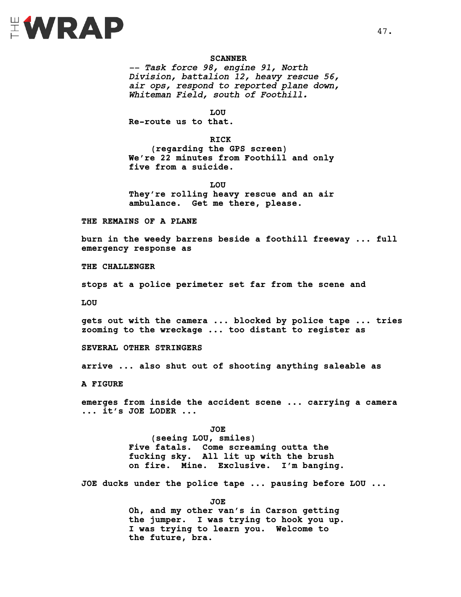

#### **SCANNER**

*-- Task force 98, engine 91, North Division, battalion 12, heavy rescue 56, air ops, respond to reported plane down, Whiteman Field, south of Foothill.*

**LOU**

**Re-route us to that.**

**RICK**

**(regarding the GPS screen) We're 22 minutes from Foothill and only five from a suicide.**

**LOU**

**They're rolling heavy rescue and an air ambulance. Get me there, please.** 

#### **THE REMAINS OF A PLANE**

**burn in the weedy barrens beside a foothill freeway ... full emergency response as** 

**THE CHALLENGER**

**stops at a police perimeter set far from the scene and** 

**LOU** 

**gets out with the camera ... blocked by police tape ... tries zooming to the wreckage ... too distant to register as** 

**SEVERAL OTHER STRINGERS** 

**arrive ... also shut out of shooting anything saleable as** 

**A FIGURE**

**emerges from inside the accident scene ... carrying a camera ... it's JOE LODER ...** 

> **JOE (seeing LOU, smiles) Five fatals. Come screaming outta the fucking sky. All lit up with the brush on fire. Mine. Exclusive. I'm banging.**

**JOE ducks under the police tape ... pausing before LOU ...**

**JOE Oh, and my other van's in Carson getting the jumper. I was trying to hook you up. I was trying to learn you. Welcome to the future, bra.**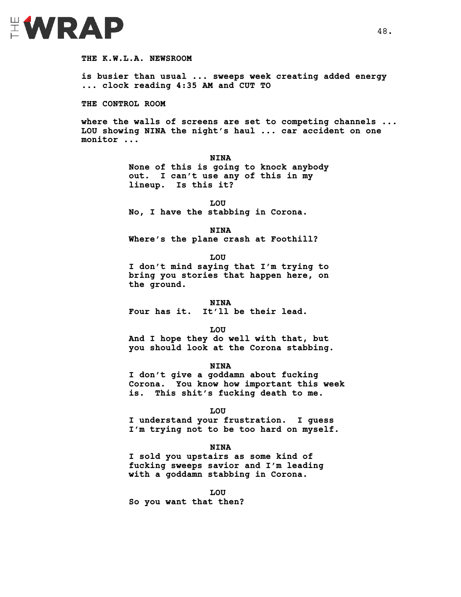

#### **THE K.W.L.A. NEWSROOM**

**is busier than usual ... sweeps week creating added energy ... clock reading 4:35 AM and CUT TO** 

**THE CONTROL ROOM**

**where the walls of screens are set to competing channels ... LOU showing NINA the night's haul ... car accident on one monitor ...**

**NINA**

**None of this is going to knock anybody out. I can't use any of this in my lineup. Is this it?** 

**LOU No, I have the stabbing in Corona.**

**NINA Where's the plane crash at Foothill?** 

**LOU**

**I don't mind saying that I'm trying to bring you stories that happen here, on the ground.**

**NINA**

**Four has it. It'll be their lead.**

**LOU**

**And I hope they do well with that, but you should look at the Corona stabbing.**

**NINA**

**I don't give a goddamn about fucking Corona. You know how important this week is. This shit's fucking death to me.**

**LOU**

**I understand your frustration. I guess I'm trying not to be too hard on myself.**

**NINA**

**I sold you upstairs as some kind of fucking sweeps savior and I'm leading with a goddamn stabbing in Corona.** 

**LOU**

**So you want that then?**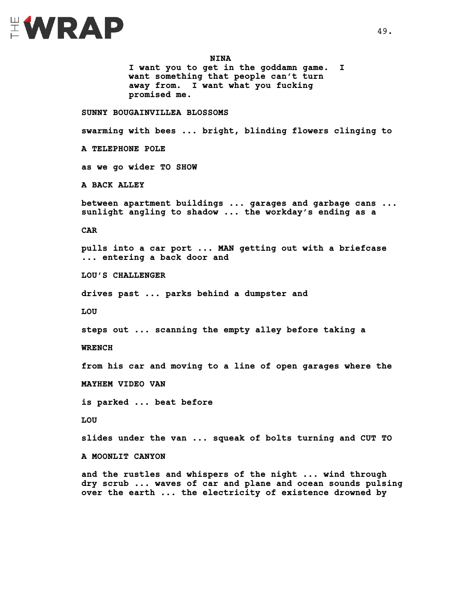

**NINA**

**I want you to get in the goddamn game. I want something that people can't turn away from. I want what you fucking promised me.** 

**SUNNY BOUGAINVILLEA BLOSSOMS**

**swarming with bees ... bright, blinding flowers clinging to**

**A TELEPHONE POLE**

**as we go wider TO SHOW**

**A BACK ALLEY** 

**between apartment buildings ... garages and garbage cans ... sunlight angling to shadow ... the workday's ending as a** 

**CAR** 

**pulls into a car port ... MAN getting out with a briefcase ... entering a back door and** 

**LOU'S CHALLENGER**

**drives past ... parks behind a dumpster and** 

**LOU** 

**steps out ... scanning the empty alley before taking a** 

**WRENCH** 

**from his car and moving to a line of open garages where the** 

**MAYHEM VIDEO VAN** 

**is parked ... beat before** 

**LOU** 

**slides under the van ... squeak of bolts turning and CUT TO** 

**A MOONLIT CANYON**

**and the rustles and whispers of the night ... wind through dry scrub ... waves of car and plane and ocean sounds pulsing over the earth ... the electricity of existence drowned by**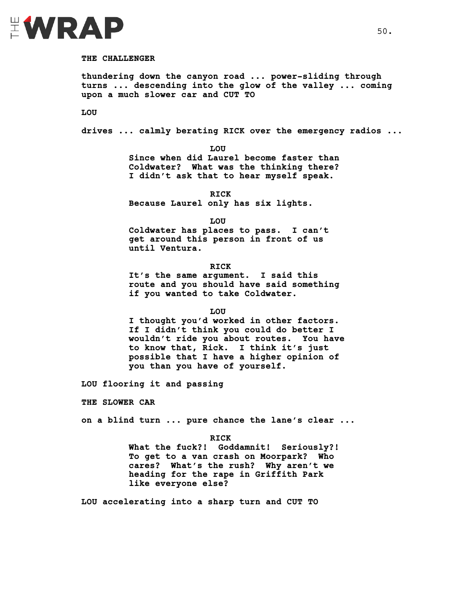

#### **THE CHALLENGER**

**thundering down the canyon road ... power-sliding through turns ... descending into the glow of the valley ... coming upon a much slower car and CUT TO** 

**LOU**

**drives ... calmly berating RICK over the emergency radios ...**

**LOU**

**Since when did Laurel become faster than Coldwater? What was the thinking there? I didn't ask that to hear myself speak.** 

**RICK Because Laurel only has six lights.** 

**LOU**

**Coldwater has places to pass. I can't get around this person in front of us until Ventura.**

**RICK**

**It's the same argument. I said this route and you should have said something if you wanted to take Coldwater.**

**LOU**

**I thought you'd worked in other factors. If I didn't think you could do better I wouldn't ride you about routes. You have to know that, Rick. I think it's just possible that I have a higher opinion of you than you have of yourself.**

**LOU flooring it and passing** 

**THE SLOWER CAR** 

**on a blind turn ... pure chance the lane's clear ...** 

**RICK What the fuck?! Goddamnit! Seriously?! To get to a van crash on Moorpark? Who cares? What's the rush? Why aren't we heading for the rape in Griffith Park like everyone else?** 

**LOU accelerating into a sharp turn and CUT TO**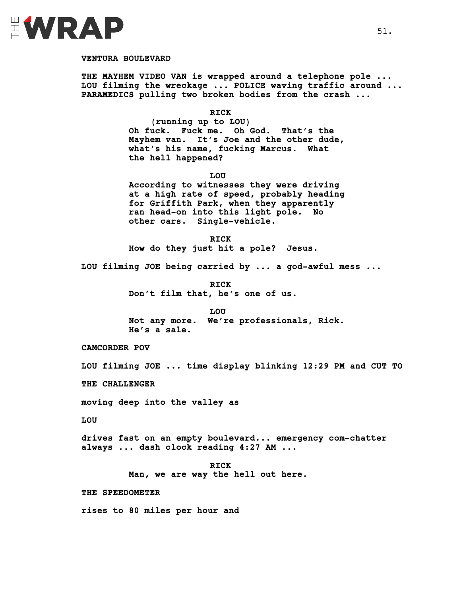

#### **VENTURA BOULEVARD**

**THE MAYHEM VIDEO VAN is wrapped around a telephone pole ... LOU filming the wreckage ... POLICE waving traffic around ... PARAMEDICS pulling two broken bodies from the crash ...**

#### **RICK**

**(running up to LOU) Oh fuck. Fuck me. Oh God. That's the Mayhem van. It's Joe and the other dude, what's his name, fucking Marcus. What the hell happened?**

**LOU**

**According to witnesses they were driving at a high rate of speed, probably heading for Griffith Park, when they apparently ran head-on into this light pole. No other cars. Single-vehicle.**

**RICK How do they just hit a pole? Jesus.**

**LOU filming JOE being carried by ... a god-awful mess ...**

**RICK Don't film that, he's one of us.**

**LOU Not any more. We're professionals, Rick. He's a sale.**

**CAMCORDER POV** 

**LOU filming JOE ... time display blinking 12:29 PM and CUT TO**

**THE CHALLENGER**

**moving deep into the valley as**

**LOU** 

**drives fast on an empty boulevard... emergency com-chatter always ... dash clock reading 4:27 AM ...**

> **RICK Man, we are way the hell out here.**

**THE SPEEDOMETER** 

**rises to 80 miles per hour and**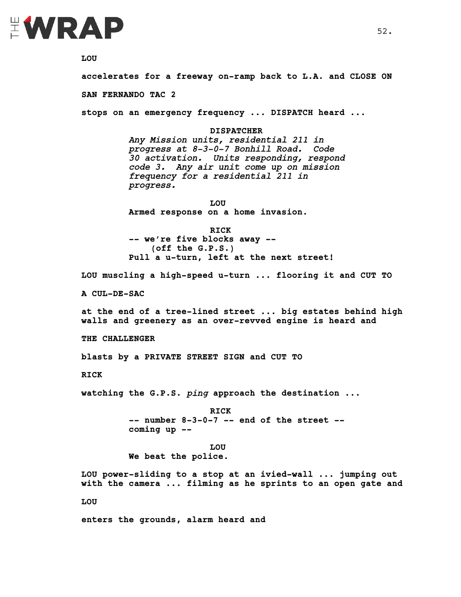

**accelerates for a freeway on-ramp back to L.A. and CLOSE ON** 

**SAN FERNANDO TAC 2**

**stops on an emergency frequency ... DISPATCH heard ...**

**DISPATCHER** *Any Mission units, residential 211 in progress at 8-3-0-7 Bonhill Road. Code 30 activation. Units responding, respond code 3. Any air unit come up on mission frequency for a residential 211 in progress.*

**LOU Armed response on a home invasion.** 

**RICK**

**-- we're five blocks away -- (off the G.P.S.) Pull a u-turn, left at the next street!**

**LOU muscling a high-speed u-turn ... flooring it and CUT TO**

**A CUL-DE-SAC**

**at the end of a tree-lined street ... big estates behind high walls and greenery as an over-revved engine is heard and** 

**THE CHALLENGER**

**blasts by a PRIVATE STREET SIGN and CUT TO** 

**RICK**

**watching the G.P.S.** *ping* **approach the destination ...** 

**RICK -- number 8-3-0-7 -- end of the street - coming up --** 

**LOU We beat the police.**

**LOU power-sliding to a stop at an ivied-wall ... jumping out with the camera ... filming as he sprints to an open gate and** 

**LOU** 

**enters the grounds, alarm heard and**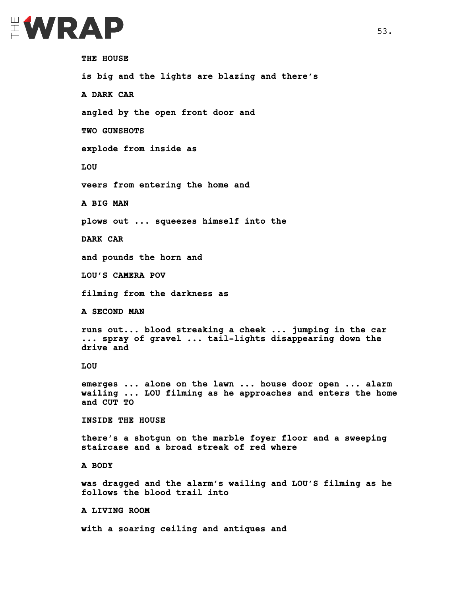

**THE HOUSE is big and the lights are blazing and there's A DARK CAR angled by the open front door and TWO GUNSHOTS explode from inside as LOU veers from entering the home and A BIG MAN plows out ... squeezes himself into the DARK CAR and pounds the horn and LOU'S CAMERA POV filming from the darkness as A SECOND MAN runs out... blood streaking a cheek ... jumping in the car ... spray of gravel ... tail-lights disappearing down the drive and LOU emerges ... alone on the lawn ... house door open ... alarm wailing ... LOU filming as he approaches and enters the home and CUT TO INSIDE THE HOUSE there's a shotgun on the marble foyer floor and a sweeping staircase and a broad streak of red where A BODY was dragged and the alarm's wailing and LOU'S filming as he follows the blood trail into A LIVING ROOM with a soaring ceiling and antiques and**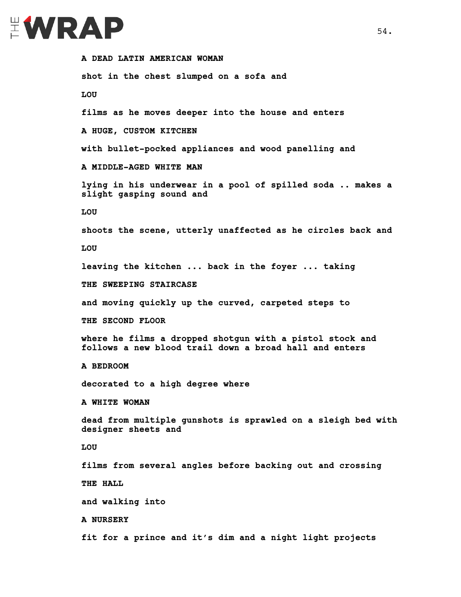# EWRAP

**A DEAD LATIN AMERICAN WOMAN shot in the chest slumped on a sofa and LOU films as he moves deeper into the house and enters A HUGE, CUSTOM KITCHEN with bullet-pocked appliances and wood panelling and A MIDDLE-AGED WHITE MAN lying in his underwear in a pool of spilled soda .. makes a slight gasping sound and LOU shoots the scene, utterly unaffected as he circles back and LOU leaving the kitchen ... back in the foyer ... taking THE SWEEPING STAIRCASE and moving quickly up the curved, carpeted steps to THE SECOND FLOOR where he films a dropped shotgun with a pistol stock and follows a new blood trail down a broad hall and enters A BEDROOM decorated to a high degree where A WHITE WOMAN dead from multiple gunshots is sprawled on a sleigh bed with designer sheets and LOU films from several angles before backing out and crossing THE HALL and walking into A NURSERY fit for a prince and it's dim and a night light projects**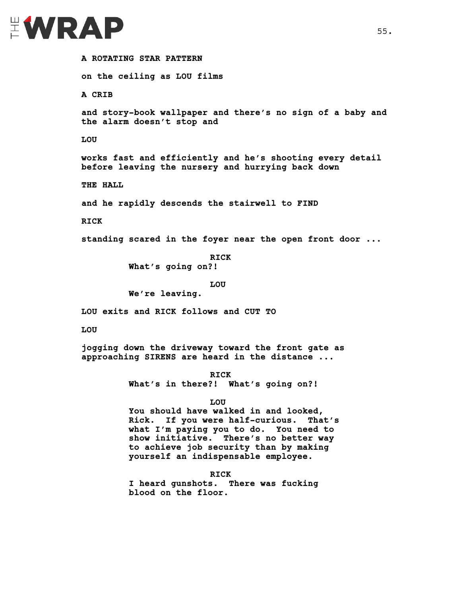

**A ROTATING STAR PATTERN on the ceiling as LOU films A CRIB and story-book wallpaper and there's no sign of a baby and the alarm doesn't stop and LOU works fast and efficiently and he's shooting every detail before leaving the nursery and hurrying back down THE HALL and he rapidly descends the stairwell to FIND RICK standing scared in the foyer near the open front door ... RICK What's going on?! LOU We're leaving. LOU exits and RICK follows and CUT TO LOU jogging down the driveway toward the front gate as approaching SIRENS are heard in the distance ... RICK What's in there?! What's going on?! LOU You should have walked in and looked, Rick. If you were half-curious. That's what I'm paying you to do. You need to show initiative. There's no better way to achieve job security than by making yourself an indispensable employee. RICK I heard gunshots. There was fucking blood on the floor.**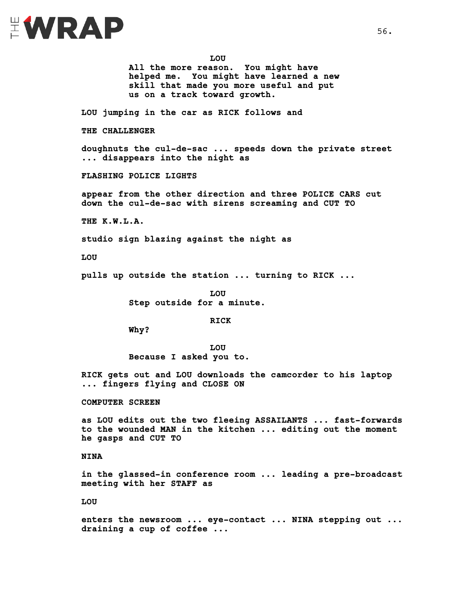

**All the more reason. You might have helped me. You might have learned a new skill that made you more useful and put us on a track toward growth.** 

**LOU jumping in the car as RICK follows and** 

**THE CHALLENGER**

**doughnuts the cul-de-sac ... speeds down the private street ... disappears into the night as** 

**FLASHING POLICE LIGHTS**

**appear from the other direction and three POLICE CARS cut down the cul-de-sac with sirens screaming and CUT TO**

**THE K.W.L.A.**

**studio sign blazing against the night as** 

**LOU** 

**pulls up outside the station ... turning to RICK ...**

**LOU Step outside for a minute.**

**RICK**

**Why?**

**LOU Because I asked you to.**

**RICK gets out and LOU downloads the camcorder to his laptop ... fingers flying and CLOSE ON**

**COMPUTER SCREEN** 

**as LOU edits out the two fleeing ASSAILANTS ... fast-forwards to the wounded MAN in the kitchen ... editing out the moment he gasps and CUT TO**

**NINA** 

**in the glassed-in conference room ... leading a pre-broadcast meeting with her STAFF as** 

**LOU** 

**enters the newsroom ... eye-contact ... NINA stepping out ... draining a cup of coffee ...**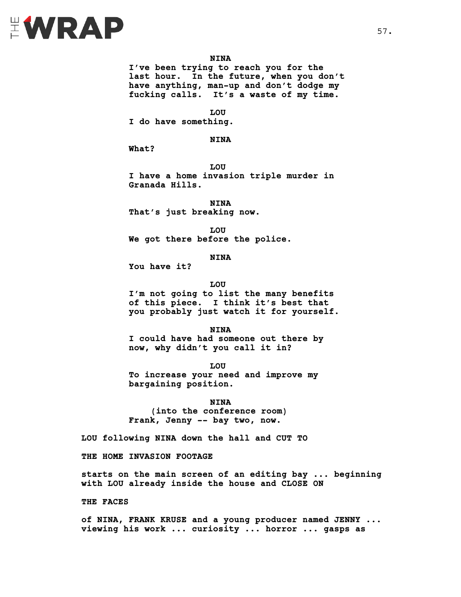

**NINA**

**I've been trying to reach you for the last hour. In the future, when you don't have anything, man-up and don't dodge my fucking calls. It's a waste of my time.** 

**LOU**

**I do have something.**

**NINA**

**What?**

**LOU I have a home invasion triple murder in** 

**NINA That's just breaking now.**

**LOU We got there before the police.**

**NINA**

**You have it?**

**Granada Hills.** 

**LOU**

**I'm not going to list the many benefits of this piece. I think it's best that you probably just watch it for yourself.**

**NINA I could have had someone out there by now, why didn't you call it in?**

**LOU To increase your need and improve my bargaining position.** 

**NINA (into the conference room) Frank, Jenny -- bay two, now.**

**LOU following NINA down the hall and CUT TO**

**THE HOME INVASION FOOTAGE**

**starts on the main screen of an editing bay ... beginning with LOU already inside the house and CLOSE ON**

**THE FACES** 

**of NINA, FRANK KRUSE and a young producer named JENNY ... viewing his work ... curiosity ... horror ... gasps as**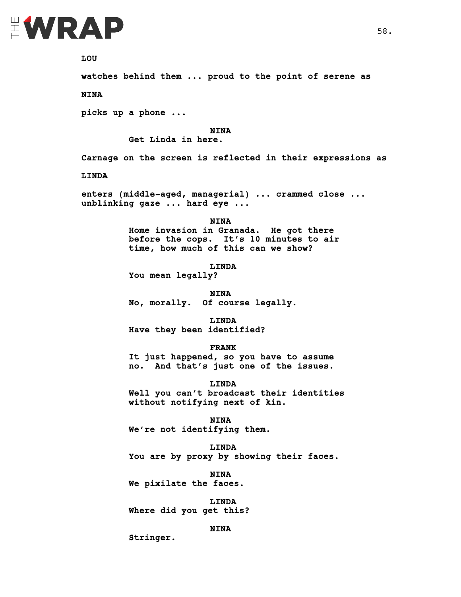

**watches behind them ... proud to the point of serene as**

**NINA** 

**picks up a phone ...**

**NINA**

**Get Linda in here.**

**Carnage on the screen is reflected in their expressions as** 

**LINDA** 

**enters (middle-aged, managerial) ... crammed close ... unblinking gaze ... hard eye ...** 

**NINA**

**Home invasion in Granada. He got there before the cops. It's 10 minutes to air time, how much of this can we show?**

**LINDA**

**You mean legally?**

**NINA No, morally. Of course legally.** 

**LINDA Have they been identified?** 

**FRANK**

**It just happened, so you have to assume no. And that's just one of the issues.** 

**LINDA**

**Well you can't broadcast their identities without notifying next of kin.**

**NINA We're not identifying them.**

**LINDA You are by proxy by showing their faces.** 

**NINA We pixilate the faces.**

**LINDA Where did you get this?**

**NINA**

**Stringer.**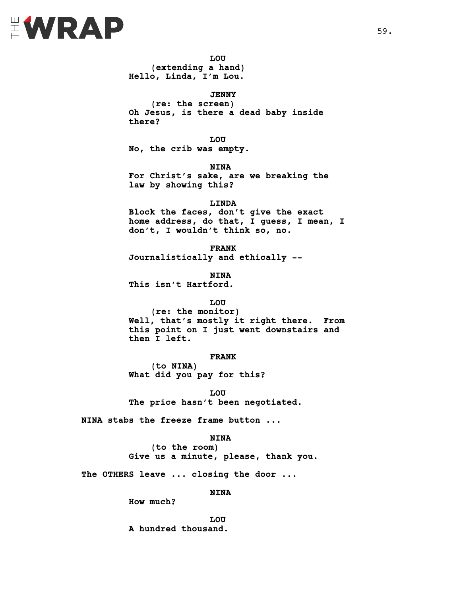

**LOU (extending a hand) Hello, Linda, I'm Lou.**

**JENNY**

**(re: the screen) Oh Jesus, is there a dead baby inside there?**

**LOU No, the crib was empty.**

**NINA**

**For Christ's sake, are we breaking the law by showing this?**

**LINDA**

**Block the faces, don't give the exact home address, do that, I guess, I mean, I don't, I wouldn't think so, no.**

**FRANK Journalistically and ethically --**

**NINA This isn't Hartford.**

#### **LOU**

**(re: the monitor) Well, that's mostly it right there. From this point on I just went downstairs and then I left.** 

#### **FRANK**

**(to NINA) What did you pay for this?**

**LOU The price hasn't been negotiated.**

**NINA stabs the freeze frame button ...** 

#### **NINA**

**(to the room) Give us a minute, please, thank you.**

**The OTHERS leave ... closing the door ...**

**NINA**

**How much?**

**LOU A hundred thousand.**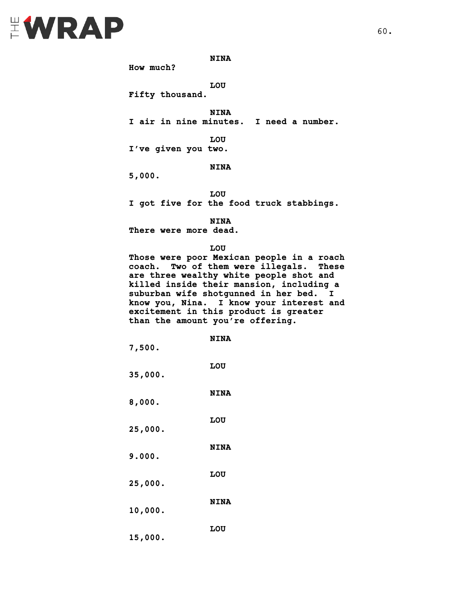# EWRAP

**NINA**

**How much?**

**LOU**

**Fifty thousand.**

**NINA I air in nine minutes. I need a number.**

**LOU I've given you two.** 

#### **NINA**

**5,000.** 

**LOU I got five for the food truck stabbings.**

**NINA**

**There were more dead.** 

**LOU**

**Those were poor Mexican people in a roach coach. Two of them were illegals. These are three wealthy white people shot and killed inside their mansion, including a suburban wife shotgunned in her bed. I know you, Nina. I know your interest and excitement in this product is greater than the amount you're offering.**

|         | than the amount you re offering |             |  |  |
|---------|---------------------------------|-------------|--|--|
| 7,500.  |                                 | <b>NINA</b> |  |  |
| 35,000. |                                 | LOU         |  |  |
| 8,000.  |                                 | <b>NINA</b> |  |  |
| 25,000. |                                 | LOU         |  |  |
|         |                                 | <b>NINA</b> |  |  |
| 9.000.  |                                 | LOU         |  |  |
| 25,000. |                                 | <b>NINA</b> |  |  |
| 10,000. |                                 |             |  |  |
|         |                                 | LOU         |  |  |

**15,000.**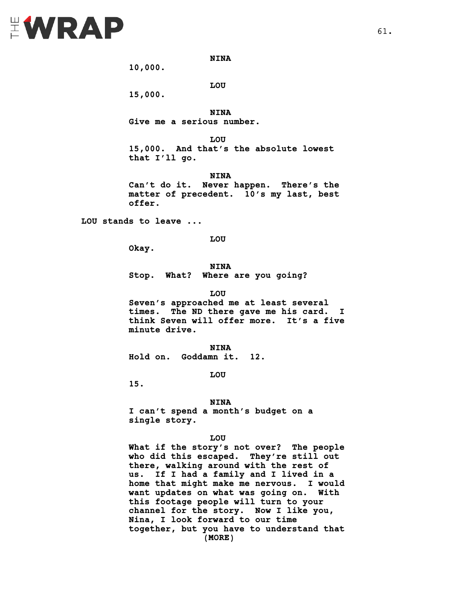# EWRAP

**NINA**

**10,000.** 

**LOU**

**15,000.**

**NINA Give me a serious number.**

**LOU**

**15,000. And that's the absolute lowest that I'll go.**

**NINA Can't do it. Never happen. There's the matter of precedent. 10's my last, best offer.**

**LOU stands to leave ...**

**LOU**

**Okay.**

**NINA**

**Stop. What? Where are you going?**

**LOU**

**Seven's approached me at least several times. The ND there gave me his card. I think Seven will offer more. It's a five minute drive.**

**NINA Hold on. Goddamn it. 12.**

**LOU**

**15.** 

#### **NINA**

**I can't spend a month's budget on a single story.**

**LOU**

**What if the story's not over? The people who did this escaped. They're still out there, walking around with the rest of us. If I had a family and I lived in a home that might make me nervous. I would want updates on what was going on. With this footage people will turn to your channel for the story. Now I like you, Nina, I look forward to our time together, but you have to understand that (MORE)**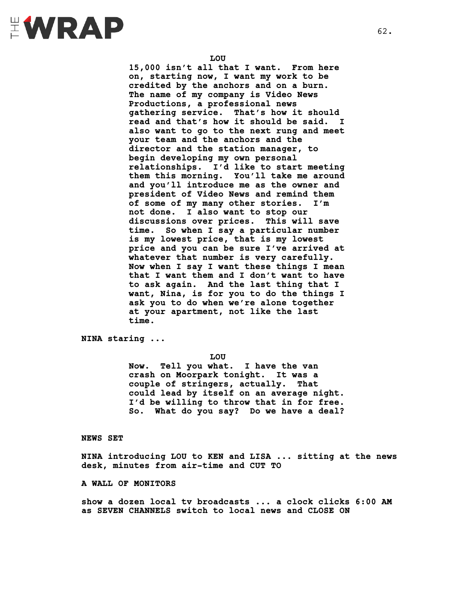

**15,000 isn't all that I want. From here on, starting now, I want my work to be credited by the anchors and on a burn. The name of my company is Video News Productions, a professional news gathering service. That's how it should read and that's how it should be said. I also want to go to the next rung and meet your team and the anchors and the director and the station manager, to begin developing my own personal relationships. I'd like to start meeting them this morning. You'll take me around and you'll introduce me as the owner and president of Video News and remind them of some of my many other stories. I'm not done. I also want to stop our discussions over prices. This will save time. So when I say a particular number is my lowest price, that is my lowest price and you can be sure I've arrived at whatever that number is very carefully. Now when I say I want these things I mean that I want them and I don't want to have to ask again. And the last thing that I want, Nina, is for you to do the things I ask you to do when we're alone together at your apartment, not like the last time.** 

**NINA staring ...**

**LOU**

**Now. Tell you what. I have the van crash on Moorpark tonight. It was a couple of stringers, actually. That could lead by itself on an average night. I'd be willing to throw that in for free. So. What do you say? Do we have a deal?** 

#### **NEWS SET**

**NINA introducing LOU to KEN and LISA ... sitting at the news desk, minutes from air-time and CUT TO** 

**A WALL OF MONITORS**

**show a dozen local tv broadcasts ... a clock clicks 6:00 AM as SEVEN CHANNELS switch to local news and CLOSE ON**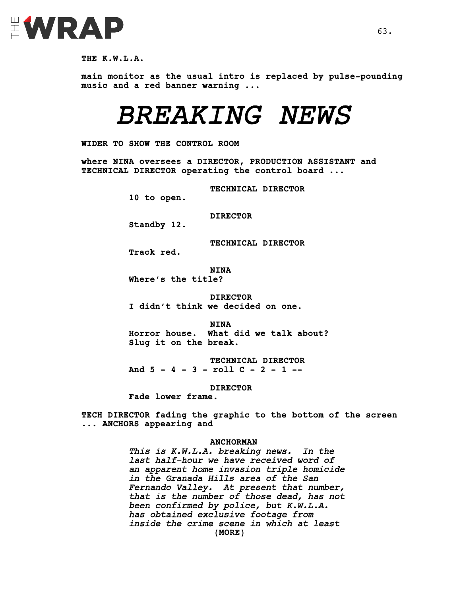

**THE K.W.L.A.**

**main monitor as the usual intro is replaced by pulse-pounding music and a red banner warning ...**

### *BREAKING NEWS*

**WIDER TO SHOW THE CONTROL ROOM** 

**where NINA oversees a DIRECTOR, PRODUCTION ASSISTANT and TECHNICAL DIRECTOR operating the control board ...** 

**TECHNICAL DIRECTOR**

**10 to open.**

**DIRECTOR**

**Standby 12.**

**TECHNICAL DIRECTOR**

**Track red.**

**NINA**

**Where's the title?**

**DIRECTOR I didn't think we decided on one.**

**NINA Horror house. What did we talk about? Slug it on the break.**

**TECHNICAL DIRECTOR And 5 - 4 - 3 - roll C - 2 - 1 --**

**DIRECTOR**

**Fade lower frame.**

**TECH DIRECTOR fading the graphic to the bottom of the screen ... ANCHORS appearing and** 

**ANCHORMAN**

*This is K.W.L.A. breaking news. In the last half-hour we have received word of an apparent home invasion triple homicide in the Granada Hills area of the San Fernando Valley. At present that number, that is the number of those dead, has not been confirmed by police, but K.W.L.A. has obtained exclusive footage from inside the crime scene in which at least*   **(MORE)**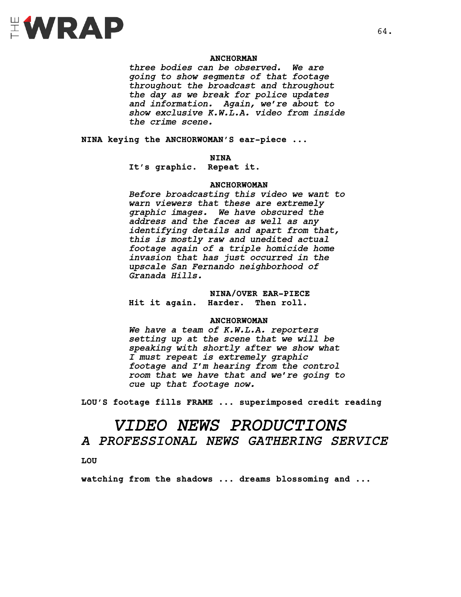

#### **ANCHORMAN**

*three bodies can be observed. We are going to show segments of that footage throughout the broadcast and throughout the day as we break for police updates and information. Again, we're about to show exclusive K.W.L.A. video from inside the crime scene.* 

**NINA keying the ANCHORWOMAN'S ear-piece ...** 

#### **NINA**

**It's graphic. Repeat it.** 

#### **ANCHORWOMAN**

*Before broadcasting this video we want to warn viewers that these are extremely graphic images. We have obscured the address and the faces as well as any identifying details and apart from that, this is mostly raw and unedited actual footage again of a triple homicide home invasion that has just occurred in the upscale San Fernando neighborhood of Granada Hills.* 

**NINA/OVER EAR-PIECE Hit it again. Harder. Then roll.**

#### **ANCHORWOMAN**

*We have a team of K.W.L.A. reporters setting up at the scene that we will be speaking with shortly after we show what I must repeat is extremely graphic footage and I'm hearing from the control room that we have that and we're going to cue up that footage now.* 

**LOU'S footage fills FRAME ... superimposed credit reading**

### *VIDEO NEWS PRODUCTIONS A PROFESSIONAL NEWS GATHERING SERVICE*

**LOU**

**watching from the shadows ... dreams blossoming and ...**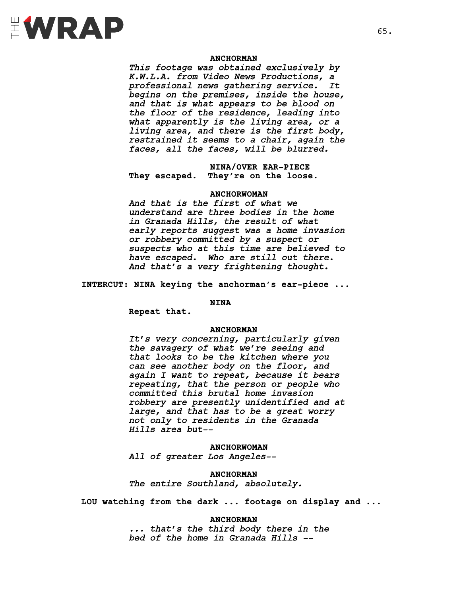

#### **ANCHORMAN**

*This footage was obtained exclusively by K.W.L.A. from Video News Productions, a professional news gathering service. It begins on the premises, inside the house, and that is what appears to be blood on the floor of the residence, leading into what apparently is the living area, or a living area, and there is the first body, restrained it seems to a chair, again the faces, all the faces, will be blurred.*

**NINA/OVER EAR-PIECE They escaped. They're on the loose.**

#### **ANCHORWOMAN**

*And that is the first of what we understand are three bodies in the home in Granada Hills, the result of what early reports suggest was a home invasion or robbery committed by a suspect or suspects who at this time are believed to have escaped. Who are still out there. And that's a very frightening thought.*

**INTERCUT: NINA keying the anchorman's ear-piece ...**

#### **NINA**

**Repeat that.** 

#### **ANCHORMAN**

*It's very concerning, particularly given the savagery of what we're seeing and that looks to be the kitchen where you can see another body on the floor, and again I want to repeat, because it bears repeating, that the person or people who committed this brutal home invasion robbery are presently unidentified and at large, and that has to be a great worry not only to residents in the Granada Hills area but--*

#### **ANCHORWOMAN**

*All of greater Los Angeles--*

**ANCHORMAN** *The entire Southland, absolutely.*

**LOU watching from the dark ... footage on display and ...** 

**ANCHORMAN** *... that's the third body there in the bed of the home in Granada Hills --*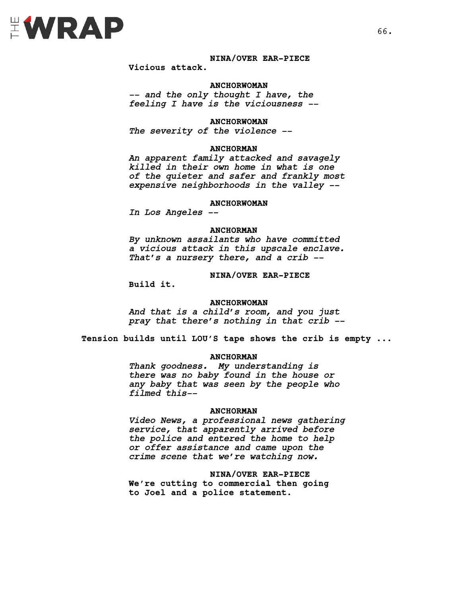

**NINA/OVER EAR-PIECE**

**Vicious attack.** 

#### **ANCHORWOMAN**

*-- and the only thought I have, the feeling I have is the viciousness --*

**ANCHORWOMAN** *The severity of the violence --*

#### **ANCHORMAN**

*An apparent family attacked and savagely killed in their own home in what is one of the quieter and safer and frankly most expensive neighborhoods in the valley --*

#### **ANCHORWOMAN**

*In Los Angeles --*

#### **ANCHORMAN**

*By unknown assailants who have committed a vicious attack in this upscale enclave. That's a nursery there, and a crib --*

#### **NINA/OVER EAR-PIECE**

**Build it.** 

#### **ANCHORWOMAN**

*And that is a child's room, and you just pray that there's nothing in that crib --*

**Tension builds until LOU'S tape shows the crib is empty ...** 

#### **ANCHORMAN**

*Thank goodness. My understanding is there was no baby found in the house or any baby that was seen by the people who filmed this--*

#### **ANCHORMAN**

*Video News, a professional news gathering service, that apparently arrived before the police and entered the home to help or offer assistance and came upon the crime scene that we're watching now.*

#### **NINA/OVER EAR-PIECE**

**We're cutting to commercial then going to Joel and a police statement.**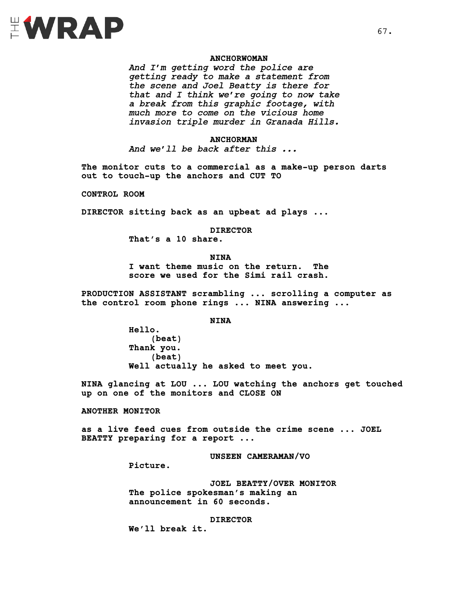

#### **ANCHORWOMAN**

*And I'm getting word the police are getting ready to make a statement from the scene and Joel Beatty is there for that and I think we're going to now take a break from this graphic footage, with much more to come on the vicious home invasion triple murder in Granada Hills.*

#### **ANCHORMAN**

*And we'll be back after this ...*

**The monitor cuts to a commercial as a make-up person darts out to touch-up the anchors and CUT TO**

**CONTROL ROOM**

**DIRECTOR sitting back as an upbeat ad plays ...**

#### **DIRECTOR**

**That's a 10 share.**

**NINA**

**I want theme music on the return. The score we used for the Simi rail crash.** 

**PRODUCTION ASSISTANT scrambling ... scrolling a computer as the control room phone rings ... NINA answering ...**

#### **NINA**

**Hello. (beat) Thank you. (beat) Well actually he asked to meet you.**

**NINA glancing at LOU ... LOU watching the anchors get touched up on one of the monitors and CLOSE ON**

#### **ANOTHER MONITOR**

**as a live feed cues from outside the crime scene ... JOEL BEATTY preparing for a report ...**

#### **UNSEEN CAMERAMAN/VO**

**Picture.**

**JOEL BEATTY/OVER MONITOR The police spokesman's making an announcement in 60 seconds.**

#### **DIRECTOR**

**We'll break it.**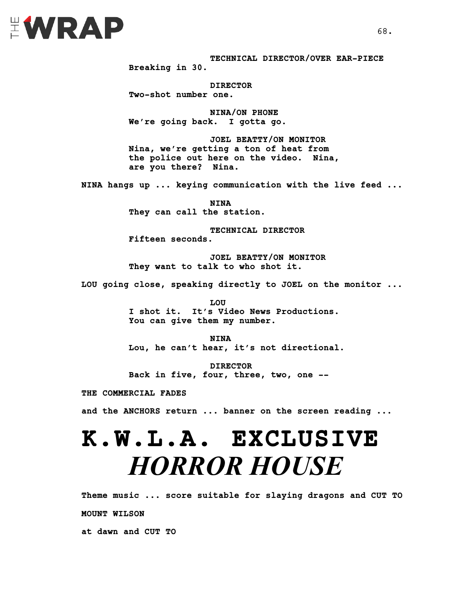

**TECHNICAL DIRECTOR/OVER EAR-PIECE Breaking in 30.**

**DIRECTOR Two-shot number one.**

**NINA/ON PHONE We're going back. I gotta go.**

**JOEL BEATTY/ON MONITOR Nina, we're getting a ton of heat from the police out here on the video. Nina, are you there? Nina.**

**NINA hangs up ... keying communication with the live feed ...**

**NINA They can call the station.**

**TECHNICAL DIRECTOR Fifteen seconds.**

**JOEL BEATTY/ON MONITOR They want to talk to who shot it.**

**LOU going close, speaking directly to JOEL on the monitor ...**

**LOU I shot it. It's Video News Productions. You can give them my number.**

**NINA Lou, he can't hear, it's not directional.**

**DIRECTOR Back in five, four, three, two, one --** 

**THE COMMERCIAL FADES**

**and the ANCHORS return ... banner on the screen reading ...** 

### **K.W.L.A. EXCLUSIVE** *HORROR HOUSE*

**Theme music ... score suitable for slaying dragons and CUT TO MOUNT WILSON**

**at dawn and CUT TO**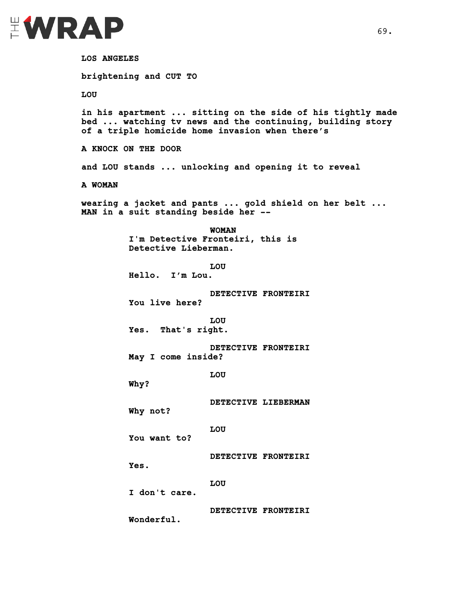

**LOS ANGELES brightening and CUT TO LOU in his apartment ... sitting on the side of his tightly made bed ... watching tv news and the continuing, building story of a triple homicide home invasion when there's A KNOCK ON THE DOOR and LOU stands ... unlocking and opening it to reveal A WOMAN wearing a jacket and pants ... gold shield on her belt ... MAN in a suit standing beside her -- WOMAN I'm Detective Fronteiri, this is Detective Lieberman. LOU Hello. I'm Lou. DETECTIVE FRONTEIRI You live here? LOU Yes. That's right. DETECTIVE FRONTEIRI May I come inside? LOU Why? DETECTIVE LIEBERMAN Why not? LOU You want to? DETECTIVE FRONTEIRI Yes. LOU I don't care. DETECTIVE FRONTEIRI Wonderful.**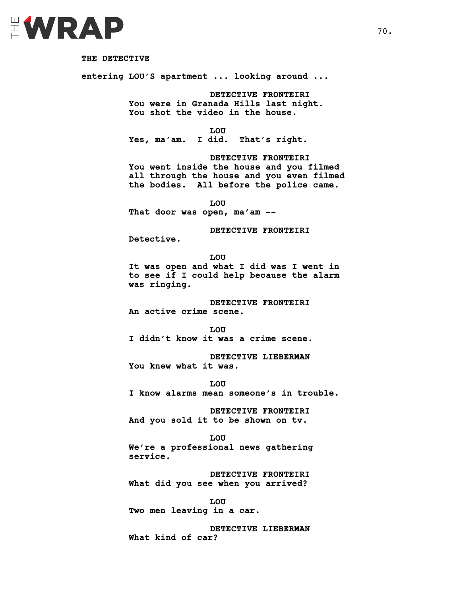

### **THE DETECTIVE entering LOU'S apartment ... looking around ... DETECTIVE FRONTEIRI You were in Granada Hills last night. You shot the video in the house. LOU Yes, ma'am. I did. That's right. DETECTIVE FRONTEIRI You went inside the house and you filmed all through the house and you even filmed the bodies. All before the police came. LOU That door was open, ma'am -- DETECTIVE FRONTEIRI Detective. LOU It was open and what I did was I went in to see if I could help because the alarm was ringing. DETECTIVE FRONTEIRI An active crime scene. LOU I didn't know it was a crime scene. DETECTIVE LIEBERMAN You knew what it was. LOU I know alarms mean someone's in trouble. DETECTIVE FRONTEIRI And you sold it to be shown on tv. LOU We're a professional news gathering service. DETECTIVE FRONTEIRI What did you see when you arrived?**

**LOU Two men leaving in a car.**

**DETECTIVE LIEBERMAN What kind of car?**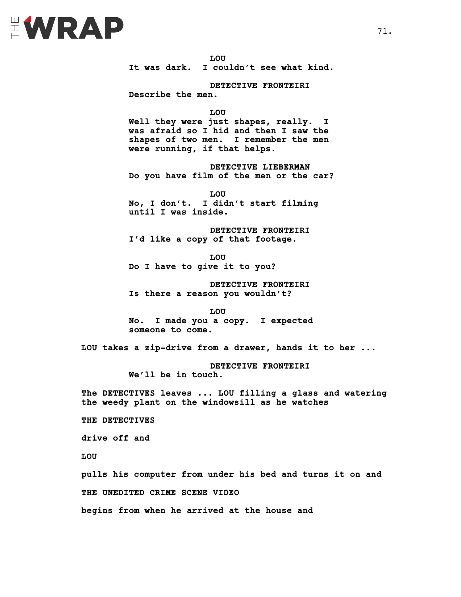## EWRAP

**LOU It was dark. I couldn't see what kind.**

**DETECTIVE FRONTEIRI Describe the men.**

**LOU**

**Well they were just shapes, really. I was afraid so I hid and then I saw the shapes of two men. I remember the men were running, if that helps.**

**DETECTIVE LIEBERMAN Do you have film of the men or the car?**

**LOU No, I don't. I didn't start filming until I was inside.** 

**DETECTIVE FRONTEIRI I'd like a copy of that footage.**

**LOU Do I have to give it to you?**

**DETECTIVE FRONTEIRI Is there a reason you wouldn't?**

**LOU No. I made you a copy. I expected someone to come.** 

**LOU takes a zip-drive from a drawer, hands it to her ...** 

**DETECTIVE FRONTEIRI We'll be in touch.** 

**The DETECTIVES leaves ... LOU filling a glass and watering the weedy plant on the windowsill as he watches** 

**THE DETECTIVES** 

**drive off and** 

**LOU**

**pulls his computer from under his bed and turns it on and THE UNEDITED CRIME SCENE VIDEO** 

**begins from when he arrived at the house and**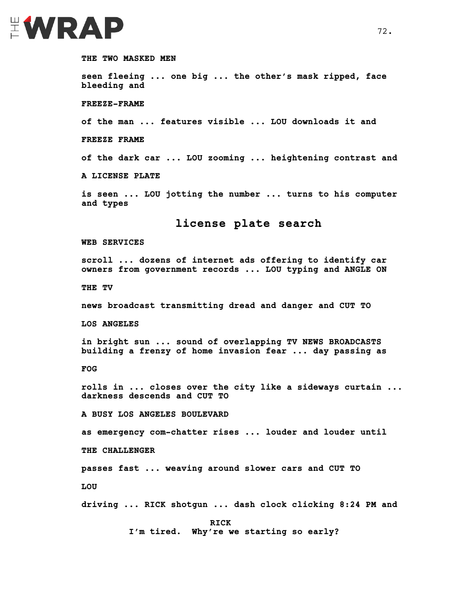## EWRAP

#### **THE TWO MASKED MEN**

**seen fleeing ... one big ... the other's mask ripped, face bleeding and**

**FREEZE-FRAME** 

**of the man ... features visible ... LOU downloads it and** 

**FREEZE FRAME**

**of the dark car ... LOU zooming ... heightening contrast and** 

**A LICENSE PLATE** 

**is seen ... LOU jotting the number ... turns to his computer and types**

#### **license plate search**

#### **WEB SERVICES**

**scroll ... dozens of internet ads offering to identify car owners from government records ... LOU typing and ANGLE ON**

**THE TV**

**news broadcast transmitting dread and danger and CUT TO**

**LOS ANGELES**

**in bright sun ... sound of overlapping TV NEWS BROADCASTS building a frenzy of home invasion fear ... day passing as** 

**FOG** 

**rolls in ... closes over the city like a sideways curtain ... darkness descends and CUT TO** 

**A BUSY LOS ANGELES BOULEVARD**

**as emergency com-chatter rises ... louder and louder until** 

**THE CHALLENGER** 

**passes fast ... weaving around slower cars and CUT TO**

**LOU** 

**driving ... RICK shotgun ... dash clock clicking 8:24 PM and** 

**RICK I'm tired. Why're we starting so early?**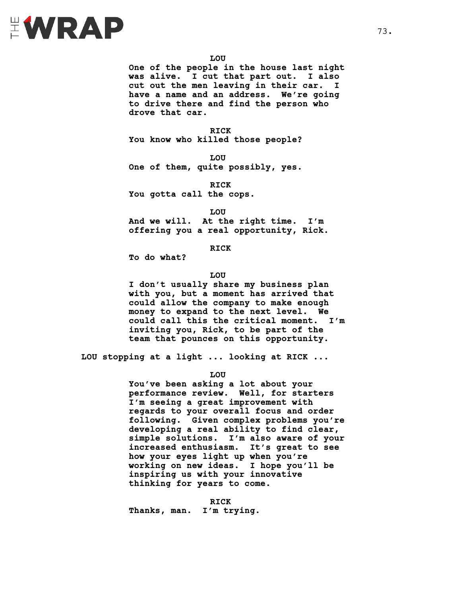

**LOU**

**One of the people in the house last night was alive. I cut that part out. I also cut out the men leaving in their car. I have a name and an address. We're going to drive there and find the person who drove that car.**

**RICK You know who killed those people?** 

**LOU One of them, quite possibly, yes.**

**RICK You gotta call the cops.**

**LOU**

**And we will. At the right time. I'm offering you a real opportunity, Rick.** 

**RICK**

**To do what?**

**LOU**

**I don't usually share my business plan with you, but a moment has arrived that could allow the company to make enough money to expand to the next level. We could call this the critical moment. I'm inviting you, Rick, to be part of the team that pounces on this opportunity.** 

**LOU stopping at a light ... looking at RICK ...** 

**LOU**

**You've been asking a lot about your performance review. Well, for starters I'm seeing a great improvement with regards to your overall focus and order following. Given complex problems you're developing a real ability to find clear, simple solutions. I'm also aware of your increased enthusiasm. It's great to see how your eyes light up when you're working on new ideas. I hope you'll be inspiring us with your innovative thinking for years to come.** 

**RICK Thanks, man. I'm trying.**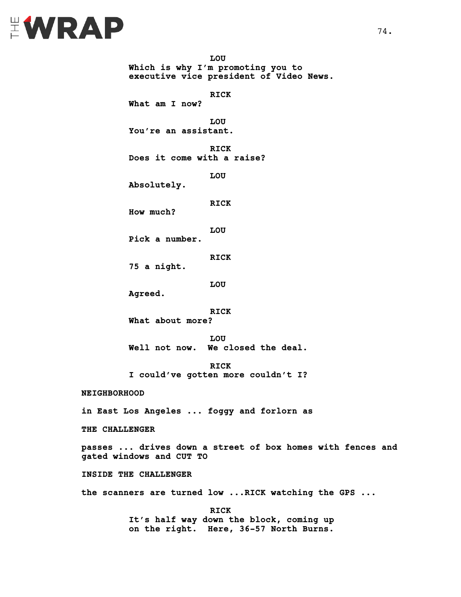

**LOU Which is why I'm promoting you to executive vice president of Video News. RICK What am I now? LOU You're an assistant. RICK Does it come with a raise? LOU Absolutely. RICK How much? LOU Pick a number. RICK 75 a night. LOU Agreed. RICK What about more? LOU Well not now. We closed the deal. RICK I could've gotten more couldn't I? NEIGHBORHOOD in East Los Angeles ... foggy and forlorn as THE CHALLENGER passes ... drives down a street of box homes with fences and gated windows and CUT TO INSIDE THE CHALLENGER the scanners are turned low ...RICK watching the GPS ... RICK It's half way down the block, coming up** 

**on the right. Here, 36-57 North Burns.**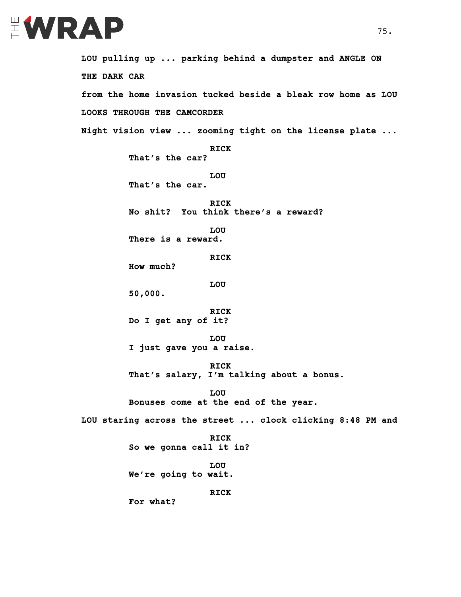

**LOU pulling up ... parking behind a dumpster and ANGLE ON THE DARK CAR from the home invasion tucked beside a bleak row home as LOU LOOKS THROUGH THE CAMCORDER Night vision view ... zooming tight on the license plate ... RICK That's the car? LOU That's the car. RICK No shit? You think there's a reward? LOU There is a reward. RICK How much? LOU 50,000. RICK Do I get any of it? LOU I just gave you a raise. RICK That's salary, I'm talking about a bonus. LOU Bonuses come at the end of the year. LOU staring across the street ... clock clicking 8:48 PM and RICK So we gonna call it in? LOU We're going to wait. RICK For what?**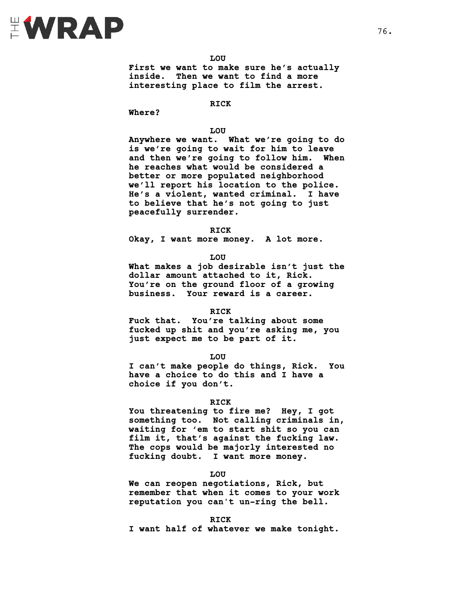

**LOU First we want to make sure he's actually inside. Then we want to find a more interesting place to film the arrest.** 

**RICK**

**Where?**

#### **LOU**

**Anywhere we want. What we're going to do is we're going to wait for him to leave and then we're going to follow him. When he reaches what would be considered a better or more populated neighborhood we'll report his location to the police. He's a violent, wanted criminal. I have to believe that he's not going to just peacefully surrender.**

#### **RICK**

**Okay, I want more money. A lot more.** 

**LOU**

**What makes a job desirable isn't just the dollar amount attached to it, Rick. You're on the ground floor of a growing business. Your reward is a career.**

#### **RICK**

**Fuck that. You're talking about some fucked up shit and you're asking me, you just expect me to be part of it.**

**LOU**

**I can't make people do things, Rick. You have a choice to do this and I have a choice if you don't.** 

#### **RICK**

**You threatening to fire me? Hey, I got something too. Not calling criminals in, waiting for 'em to start shit so you can film it, that's against the fucking law. The cops would be majorly interested no fucking doubt. I want more money.** 

**LOU**

**We can reopen negotiations, Rick, but remember that when it comes to your work reputation you can't un-ring the bell.**

**RICK**

**I want half of whatever we make tonight.**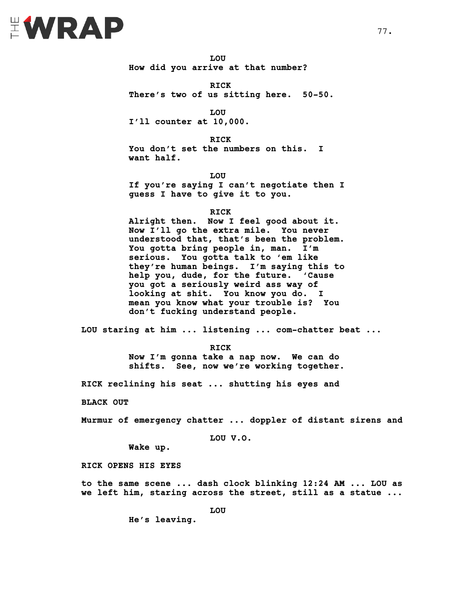# EWRAP

**LOU How did you arrive at that number?**

**RICK There's two of us sitting here. 50-50.**

**LOU I'll counter at 10,000.**

**RICK You don't set the numbers on this. I want half.** 

**LOU If you're saying I can't negotiate then I guess I have to give it to you.** 

**RICK**

**Alright then. Now I feel good about it. Now I'll go the extra mile. You never understood that, that's been the problem. You gotta bring people in, man. I'm serious. You gotta talk to 'em like they're human beings. I'm saying this to help you, dude, for the future. 'Cause you got a seriously weird ass way of looking at shit. You know you do. I mean you know what your trouble is? You don't fucking understand people.** 

**LOU staring at him ... listening ... com-chatter beat ...** 

**RICK Now I'm gonna take a nap now. We can do shifts. See, now we're working together.**

**RICK reclining his seat ... shutting his eyes and** 

**BLACK OUT**

**Murmur of emergency chatter ... doppler of distant sirens and** 

**LOU V.O.**

**Wake up.**

**RICK OPENS HIS EYES**

**to the same scene ... dash clock blinking 12:24 AM ... LOU as we left him, staring across the street, still as a statue ...**

**LOU**

**He's leaving.**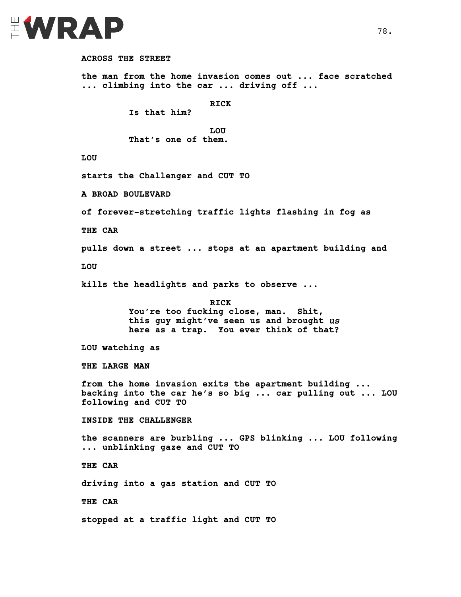

```
ACROSS THE STREET 
the man from the home invasion comes out ... face scratched 
... climbing into the car ... driving off ... 
                         RICK
         Is that him?
                         LOU
         That's one of them.
LOU
starts the Challenger and CUT TO
A BROAD BOULEVARD
of forever-stretching traffic lights flashing in fog as 
THE CAR 
pulls down a street ... stops at an apartment building and
LOU
kills the headlights and parks to observe ...
                         RICK
         You're too fucking close, man. Shit, 
         this guy might've seen us and brought us
         here as a trap. You ever think of that?
LOU watching as 
THE LARGE MAN
from the home invasion exits the apartment building ... 
backing into the car he's so big ... car pulling out ... LOU 
following and CUT TO 
INSIDE THE CHALLENGER 
the scanners are burbling ... GPS blinking ... LOU following 
... unblinking gaze and CUT TO 
THE CAR 
driving into a gas station and CUT TO 
THE CAR 
stopped at a traffic light and CUT TO
```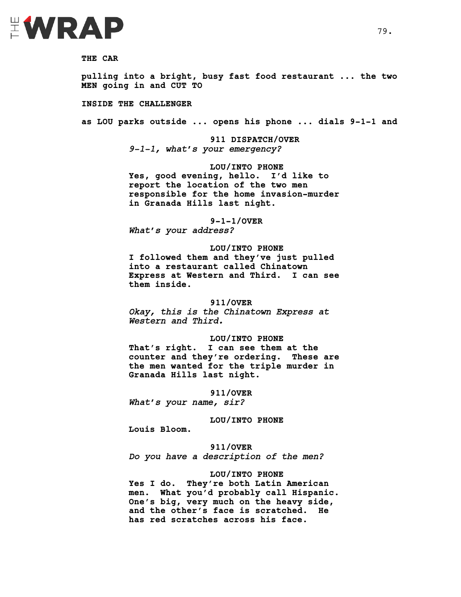

**THE CAR** 

**pulling into a bright, busy fast food restaurant ... the two MEN going in and CUT TO**

**INSIDE THE CHALLENGER** 

**as LOU parks outside ... opens his phone ... dials 9-1-1 and** 

**911 DISPATCH/OVER** *9-1-1, what's your emergency?*

**LOU/INTO PHONE Yes, good evening, hello. I'd like to report the location of the two men responsible for the home invasion-murder in Granada Hills last night.** 

**9-1-1/OVER**

*What's your address?*

**LOU/INTO PHONE I followed them and they've just pulled into a restaurant called Chinatown Express at Western and Third. I can see them inside.**

#### **911/OVER** *Okay, this is the Chinatown Express at*

*Western and Third.*

**LOU/INTO PHONE**

**That's right. I can see them at the counter and they're ordering. These are the men wanted for the triple murder in Granada Hills last night.**

**911/OVER**

*What's your name, sir?*

**LOU/INTO PHONE**

**Louis Bloom.**

#### **911/OVER**

*Do you have a description of the men?*

#### **LOU/INTO PHONE**

**Yes I do. They're both Latin American men. What you'd probably call Hispanic. One's big, very much on the heavy side, and the other's face is scratched. He has red scratches across his face.**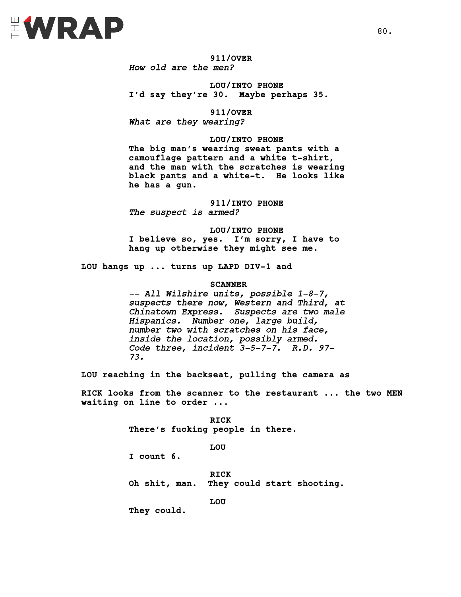

**911/OVER** *How old are the men?*

**LOU/INTO PHONE I'd say they're 30. Maybe perhaps 35.**

**911/OVER** *What are they wearing?*

**LOU/INTO PHONE The big man's wearing sweat pants with a camouflage pattern and a white t-shirt, and the man with the scratches is wearing black pants and a white-t. He looks like he has a gun.**

**911/INTO PHONE** *The suspect is armed?*

**LOU/INTO PHONE I believe so, yes. I'm sorry, I have to hang up otherwise they might see me.**

**LOU hangs up ... turns up LAPD DIV-1 and**

#### **SCANNER**

*-- All Wilshire units, possible 1-8-7, suspects there now, Western and Third, at Chinatown Express. Suspects are two male Hispanics. Number one, large build, number two with scratches on his face, inside the location, possibly armed. Code three, incident 3-5-7-7. R.D. 97- 73.*

**LOU reaching in the backseat, pulling the camera as** 

**RICK looks from the scanner to the restaurant ... the two MEN waiting on line to order ...** 

> **RICK There's fucking people in there.**

> > **LOU**

**I count 6.**

**RICK Oh shit, man. They could start shooting.**

**LOU**

**They could.**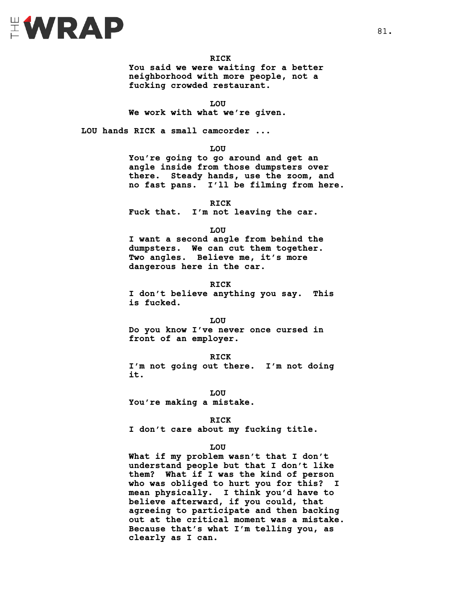

**RICK You said we were waiting for a better neighborhood with more people, not a fucking crowded restaurant.**

**LOU**

**We work with what we're given.**

**LOU hands RICK a small camcorder ...**

**LOU**

**You're going to go around and get an angle inside from those dumpsters over there. Steady hands, use the zoom, and no fast pans. I'll be filming from here.**

**RICK Fuck that. I'm not leaving the car.** 

**LOU**

**I want a second angle from behind the dumpsters. We can cut them together. Two angles. Believe me, it's more dangerous here in the car.**

**RICK**

**I don't believe anything you say. This is fucked.** 

**LOU**

**Do you know I've never once cursed in front of an employer.**

**RICK**

**I'm not going out there. I'm not doing it.**

**LOU You're making a mistake.**

**RICK**

**I don't care about my fucking title.**

#### **LOU**

**What if my problem wasn't that I don't understand people but that I don't like them? What if I was the kind of person who was obliged to hurt you for this? I mean physically. I think you'd have to believe afterward, if you could, that agreeing to participate and then backing out at the critical moment was a mistake. Because that's what I'm telling you, as clearly as I can.**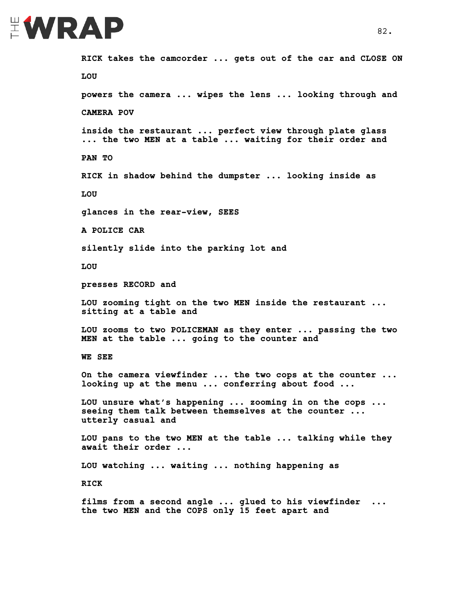

**RICK takes the camcorder ... gets out of the car and CLOSE ON LOU powers the camera ... wipes the lens ... looking through and CAMERA POV inside the restaurant ... perfect view through plate glass ... the two MEN at a table ... waiting for their order and PAN TO RICK in shadow behind the dumpster ... looking inside as LOU glances in the rear-view, SEES A POLICE CAR silently slide into the parking lot and LOU presses RECORD and LOU zooming tight on the two MEN inside the restaurant ... sitting at a table and LOU zooms to two POLICEMAN as they enter ... passing the two MEN at the table ... going to the counter and WE SEE On the camera viewfinder ... the two cops at the counter ... looking up at the menu ... conferring about food ... LOU unsure what's happening ... zooming in on the cops ... seeing them talk between themselves at the counter ... utterly casual and LOU pans to the two MEN at the table ... talking while they await their order ... LOU watching ... waiting ... nothing happening as RICK films from a second angle ... glued to his viewfinder ... the two MEN and the COPS only 15 feet apart and** 

82.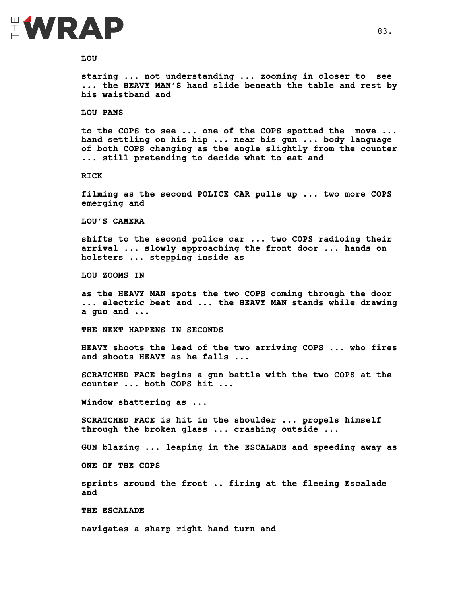

#### **LOU**

**staring ... not understanding ... zooming in closer to see ... the HEAVY MAN'S hand slide beneath the table and rest by his waistband and** 

#### **LOU PANS**

**to the COPS to see ... one of the COPS spotted the move ... hand settling on his hip ... near his gun ... body language of both COPS changing as the angle slightly from the counter ... still pretending to decide what to eat and** 

**RICK** 

**filming as the second POLICE CAR pulls up ... two more COPS emerging and**

**LOU'S CAMERA** 

**shifts to the second police car** ... **two COPS radioing their arrival ... slowly approaching the front door ... hands on holsters ... stepping inside as** 

**LOU ZOOMS IN** 

**as the HEAVY MAN spots the two COPS coming through the door ... electric beat and ... the HEAVY MAN stands while drawing a gun and ...** 

**THE NEXT HAPPENS IN SECONDS** 

**HEAVY shoots the lead of the two arriving COPS ... who fires and shoots HEAVY as he falls ...** 

**SCRATCHED FACE begins a gun battle with the two COPS at the counter ... both COPS hit ...** 

**Window shattering as ...** 

**SCRATCHED FACE is hit in the shoulder ... propels himself through the broken glass ... crashing outside ...**

**GUN blazing ... leaping in the ESCALADE and speeding away as** 

**ONE OF THE COPS**

**sprints around the front .. firing at the fleeing Escalade and** 

**THE ESCALADE** 

**navigates a sharp right hand turn and**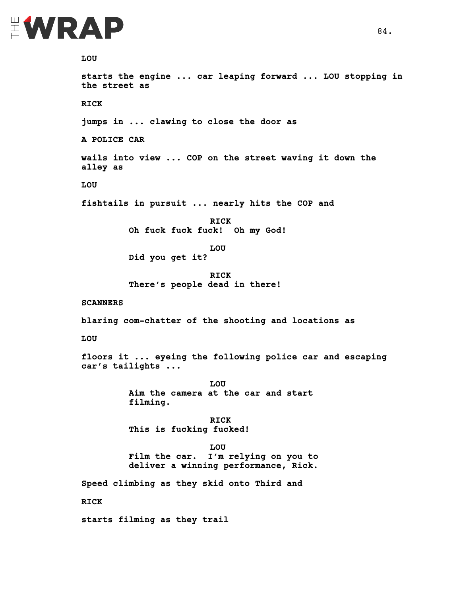

**LOU starts the engine ... car leaping forward ... LOU stopping in the street as RICK jumps in ... clawing to close the door as A POLICE CAR wails into view ... COP on the street waving it down the alley as LOU fishtails in pursuit ... nearly hits the COP and RICK Oh fuck fuck fuck! Oh my God! LOU Did you get it? RICK There's people dead in there! SCANNERS blaring com-chatter of the shooting and locations as LOU floors it ... eyeing the following police car and escaping car's tailights ... LOU Aim the camera at the car and start filming. RICK This is fucking fucked! LOU Film the car. I'm relying on you to deliver a winning performance, Rick. Speed climbing as they skid onto Third and RICK starts filming as they trail**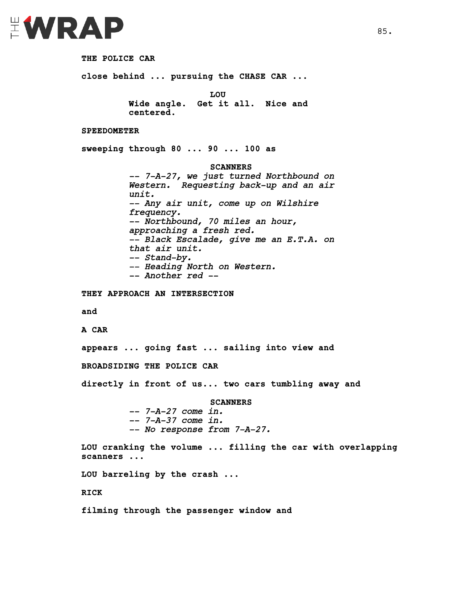

**THE POLICE CAR close behind ... pursuing the CHASE CAR ... LOU Wide angle. Get it all. Nice and centered. SPEEDOMETER sweeping through 80 ... 90 ... 100 as SCANNERS** *-- 7-A-27, we just turned Northbound on Western. Requesting back-up and an air unit. -- Any air unit, come up on Wilshire frequency. -- Northbound, 70 miles an hour, approaching a fresh red. -- Black Escalade, give me an E.T.A. on that air unit. -- Stand-by. -- Heading North on Western. -- Another red --* **THEY APPROACH AN INTERSECTION and A CAR appears ... going fast ... sailing into view and BROADSIDING THE POLICE CAR directly in front of us... two cars tumbling away and SCANNERS** *-- 7-A-27 come in. -- 7-A-37 come in. -- No response from 7-A-27.* **LOU cranking the volume ... filling the car with overlapping scanners ... LOU barreling by the crash ... RICK filming through the passenger window and**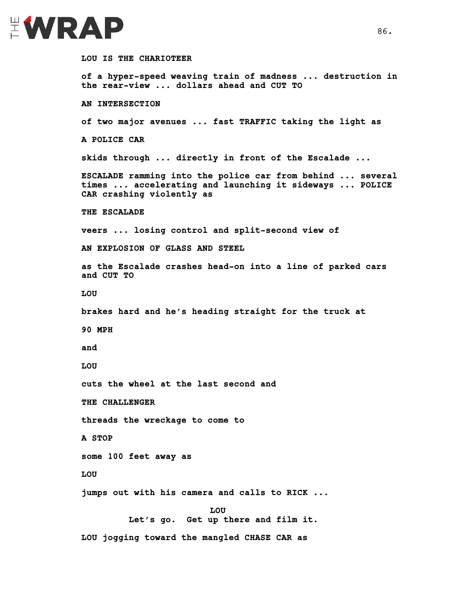# EWRAP

#### **LOU IS THE CHARIOTEER**

**of a hyper-speed weaving train of madness ... destruction in the rear-view ... dollars ahead and CUT TO**

**AN INTERSECTION**

**of two major avenues ... fast TRAFFIC taking the light as**

**A POLICE CAR**

**skids through ... directly in front of the Escalade ...** 

**ESCALADE ramming into the police car from behind ... several times ... accelerating and launching it sideways ... POLICE CAR crashing violently as** 

**THE ESCALADE**

**veers ... losing control and split-second view of** 

**AN EXPLOSION OF GLASS AND STEEL** 

**as the Escalade crashes head-on into a line of parked cars and CUT TO** 

**LOU** 

**brakes hard and he's heading straight for the truck at** 

**90 MPH** 

**and** 

**LOU** 

**cuts the wheel at the last second and** 

**THE CHALLENGER** 

**threads the wreckage to come to** 

**A STOP** 

**some 100 feet away as** 

**LOU**

**jumps out with his camera and calls to RICK ...**

**LOU Let's go. Get up there and film it.**

**LOU jogging toward the mangled CHASE CAR as**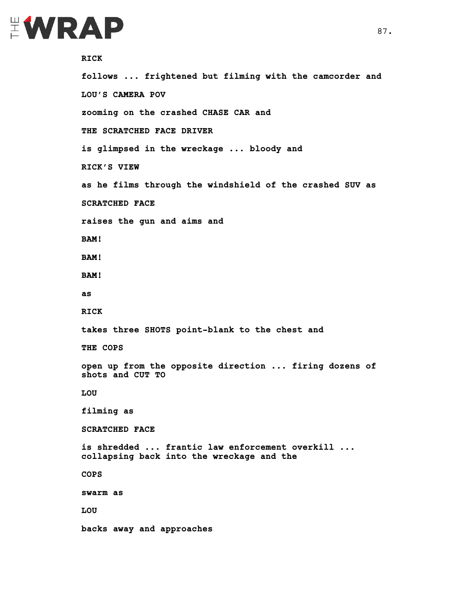

```
RICK 
follows ... frightened but filming with the camcorder and 
LOU'S CAMERA POV 
zooming on the crashed CHASE CAR and 
THE SCRATCHED FACE DRIVER 
is glimpsed in the wreckage ... bloody and
RICK'S VIEW 
as he films through the windshield of the crashed SUV as 
SCRATCHED FACE
raises the gun and aims and
BAM! 
BAM! 
BAM! 
as
RICK 
takes three SHOTS point-blank to the chest and 
THE COPS 
open up from the opposite direction ... firing dozens of 
shots and CUT TO
LOU
filming as
SCRATCHED FACE 
is shredded ... frantic law enforcement overkill ... 
collapsing back into the wreckage and the 
COPS 
swarm as 
LOU 
backs away and approaches
```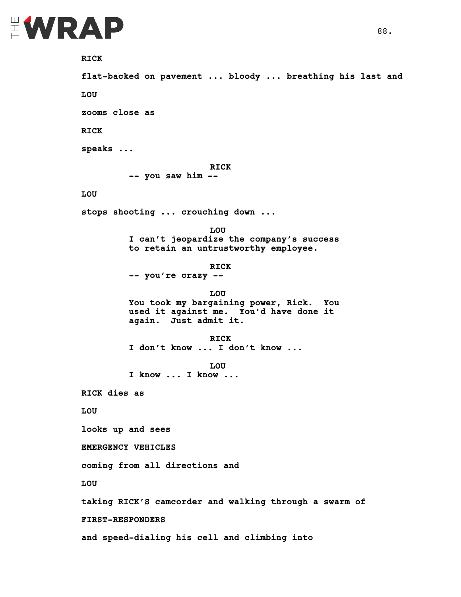

**RICK flat-backed on pavement ... bloody ... breathing his last and LOU zooms close as RICK speaks ... RICK -- you saw him -- LOU stops shooting ... crouching down ... LOU I can't jeopardize the company's success to retain an untrustworthy employee. RICK -- you're crazy -- LOU You took my bargaining power, Rick. You used it against me. You'd have done it again. Just admit it. RICK I don't know ... I don't know ... LOU I know ... I know ... RICK dies as LOU looks up and sees EMERGENCY VEHICLES coming from all directions and LOU taking RICK'S camcorder and walking through a swarm of FIRST-RESPONDERS and speed-dialing his cell and climbing into**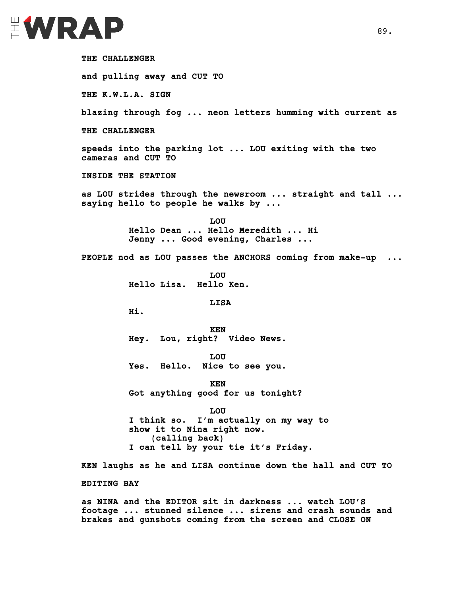

**THE CHALLENGER and pulling away and CUT TO THE K.W.L.A. SIGN blazing through fog ... neon letters humming with current as THE CHALLENGER speeds into the parking lot ... LOU exiting with the two cameras and CUT TO INSIDE THE STATION as LOU strides through the newsroom ... straight and tall ... saying hello to people he walks by ... LOU Hello Dean ... Hello Meredith ... Hi Jenny ... Good evening, Charles ... PEOPLE nod as LOU passes the ANCHORS coming from make-up ... LOU Hello Lisa. Hello Ken. LISA Hi. KEN Hey. Lou, right? Video News. LOU Yes. Hello. Nice to see you. KEN Got anything good for us tonight? LOU I think so. I'm actually on my way to show it to Nina right now. (calling back) I can tell by your tie it's Friday. KEN laughs as he and LISA continue down the hall and CUT TO EDITING BAY**

**as NINA and the EDITOR sit in darkness ... watch LOU'S footage ... stunned silence ... sirens and crash sounds and brakes and gunshots coming from the screen and CLOSE ON**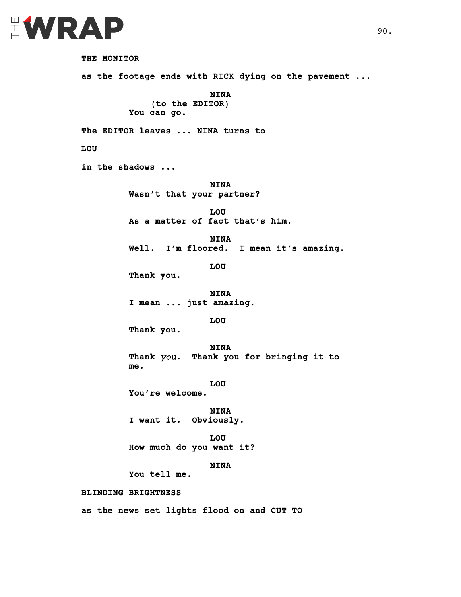

**THE MONITOR as the footage ends with RICK dying on the pavement ... NINA (to the EDITOR) You can go. The EDITOR leaves ... NINA turns to LOU in the shadows ... NINA Wasn't that your partner? LOU As a matter of fact that's him. NINA Well. I'm floored. I mean it's amazing. LOU Thank you. NINA I mean ... just amazing. LOU Thank you. NINA Thank** *you***. Thank you for bringing it to me. LOU You're welcome. NINA I want it. Obviously. LOU How much do you want it? NINA You tell me. BLINDING BRIGHTNESS as the news set lights flood on and CUT TO**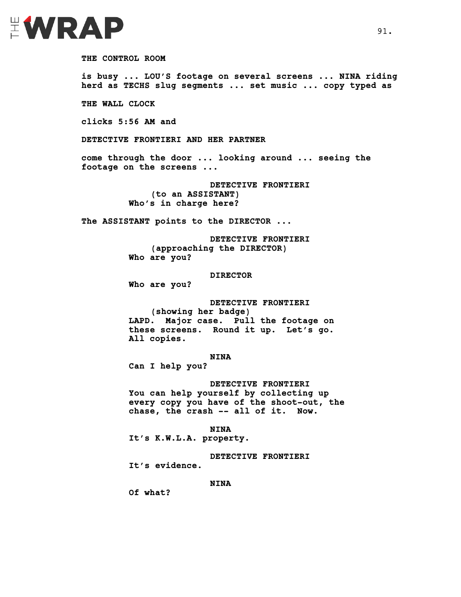

**THE CONTROL ROOM** 

**is busy ... LOU'S footage on several screens ... NINA riding herd as TECHS slug segments ... set music ... copy typed as** 

**THE WALL CLOCK** 

**clicks 5:56 AM and** 

**DETECTIVE FRONTIERI AND HER PARTNER** 

**come through the door ... looking around ... seeing the footage on the screens ...** 

> **DETECTIVE FRONTIERI (to an ASSISTANT) Who's in charge here?**

**The ASSISTANT points to the DIRECTOR ...** 

**DETECTIVE FRONTIERI (approaching the DIRECTOR) Who are you?**

**DIRECTOR**

**Who are you?**

**DETECTIVE FRONTIERI (showing her badge) LAPD. Major case. Pull the footage on these screens. Round it up. Let's go. All copies.**

**NINA**

**Can I help you?**

**DETECTIVE FRONTIERI You can help yourself by collecting up every copy you have of the shoot-out, the chase, the crash -- all of it. Now.** 

**NINA It's K.W.L.A. property.**

**DETECTIVE FRONTIERI**

**It's evidence.**

**NINA**

**Of what?**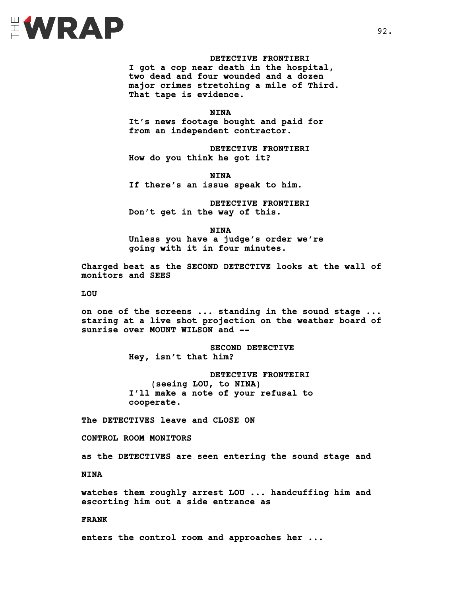

**DETECTIVE FRONTIERI I got a cop near death in the hospital, two dead and four wounded and a dozen major crimes stretching a mile of Third. That tape is evidence.** 

**NINA**

**It's news footage bought and paid for from an independent contractor.** 

**DETECTIVE FRONTIERI How do you think he got it?**

**NINA If there's an issue speak to him.**

**DETECTIVE FRONTIERI Don't get in the way of this.** 

**NINA**

**Unless you have a judge's order we're going with it in four minutes.**

**Charged beat as the SECOND DETECTIVE looks at the wall of monitors and SEES**

**LOU** 

**on one of the screens ... standing in the sound stage ... staring at a live shot projection on the weather board of sunrise over MOUNT WILSON and --** 

> **SECOND DETECTIVE Hey, isn't that him?**

**DETECTIVE FRONTEIRI (seeing LOU, to NINA) I'll make a note of your refusal to cooperate.** 

**The DETECTIVES leave and CLOSE ON**

**CONTROL ROOM MONITORS** 

**as the DETECTIVES are seen entering the sound stage and** 

**NINA**

**watches them roughly arrest LOU ... handcuffing him and escorting him out a side entrance as** 

**FRANK**

**enters the control room and approaches her ...**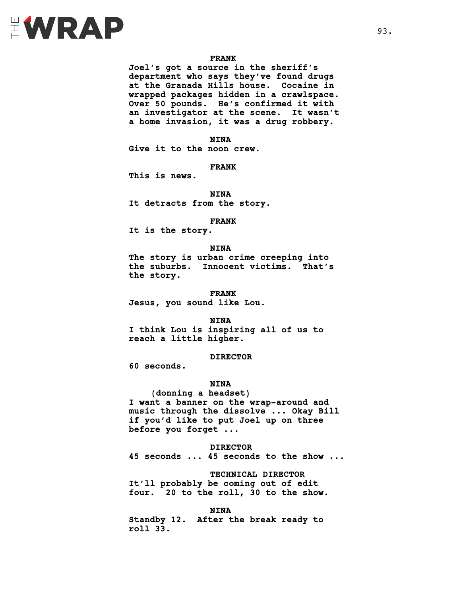

#### **FRANK**

**Joel's got a source in the sheriff's department who says they've found drugs at the Granada Hills house. Cocaine in wrapped packages hidden in a crawlspace. Over 50 pounds. He's confirmed it with an investigator at the scene. It wasn't a home invasion, it was a drug robbery.** 

**NINA**

**Give it to the noon crew.**

**FRANK**

**This is news.**

**NINA**

**It detracts from the story.** 

#### **FRANK**

**It is the story.**

#### **NINA**

**The story is urban crime creeping into the suburbs. Innocent victims. That's the story.** 

**FRANK Jesus, you sound like Lou.**

#### **NINA**

**I think Lou is inspiring all of us to reach a little higher.**

#### **DIRECTOR**

**60 seconds.**

#### **NINA**

**(donning a headset) I want a banner on the wrap-around and music through the dissolve ... Okay Bill if you'd like to put Joel up on three before you forget ...** 

#### **DIRECTOR**

**45 seconds ... 45 seconds to the show ...**

**TECHNICAL DIRECTOR It'll probably be coming out of edit four. 20 to the roll, 30 to the show.**

#### **NINA**

**Standby 12. After the break ready to roll 33.**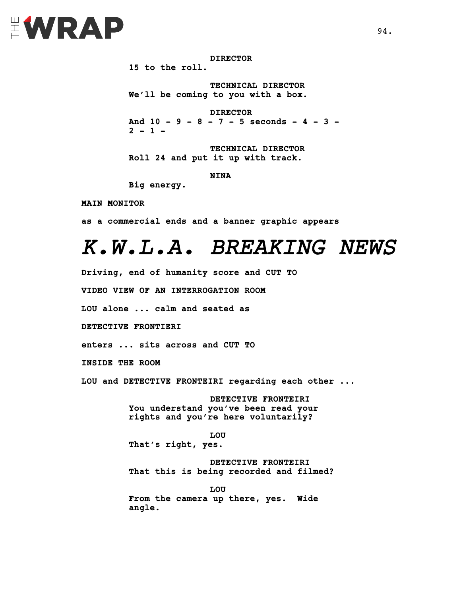# EWRAP

**DIRECTOR 15 to the roll. TECHNICAL DIRECTOR We'll be coming to you with a box. DIRECTOR And 10 - 9 - 8 - 7 - 5 seconds - 4 - 3 - 2 - 1 -**

**TECHNICAL DIRECTOR Roll 24 and put it up with track.**

**NINA**

**Big energy.**

**angle.** 

**MAIN MONITOR** 

**as a commercial ends and a banner graphic appears** 

### *K.W.L.A. BREAKING NEWS*

**Driving, end of humanity score and CUT TO VIDEO VIEW OF AN INTERROGATION ROOM LOU alone ... calm and seated as DETECTIVE FRONTIERI enters ... sits across and CUT TO INSIDE THE ROOM LOU and DETECTIVE FRONTEIRI regarding each other ... DETECTIVE FRONTEIRI You understand you've been read your rights and you're here voluntarily? LOU That's right, yes. DETECTIVE FRONTEIRI That this is being recorded and filmed? LOU From the camera up there, yes. Wide**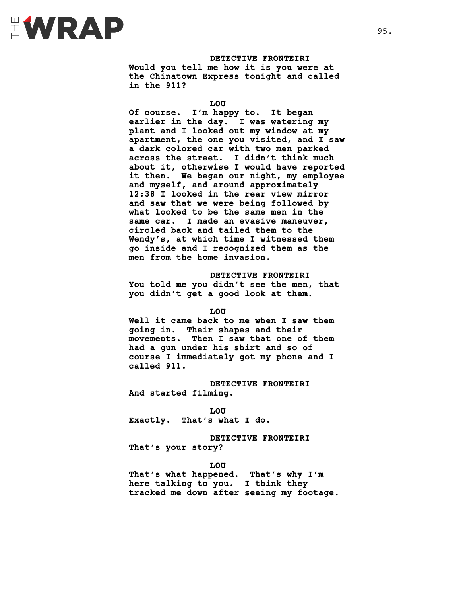

**DETECTIVE FRONTEIRI**

**Would you tell me how it is you were at the Chinatown Express tonight and called in the 911?**

**LOU**

**Of course. I'm happy to. It began earlier in the day. I was watering my plant and I looked out my window at my apartment, the one you visited, and I saw a dark colored car with two men parked across the street. I didn't think much about it, otherwise I would have reported it then. We began our night, my employee and myself, and around approximately 12:38 I looked in the rear view mirror and saw that we were being followed by what looked to be the same men in the same car. I made an evasive maneuver, circled back and tailed them to the Wendy's, at which time I witnessed them go inside and I recognized them as the men from the home invasion.**

**DETECTIVE FRONTEIRI You told me you didn't see the men, that you didn't get a good look at them.**

**LOU**

**Well it came back to me when I saw them going in. Their shapes and their movements. Then I saw that one of them had a gun under his shirt and so of course I immediately got my phone and I called 911.**

**DETECTIVE FRONTEIRI And started filming.**

**LOU Exactly. That's what I do.**

**DETECTIVE FRONTEIRI That's your story?**

#### **LOU**

**That's what happened. That's why I'm here talking to you. I think they tracked me down after seeing my footage.**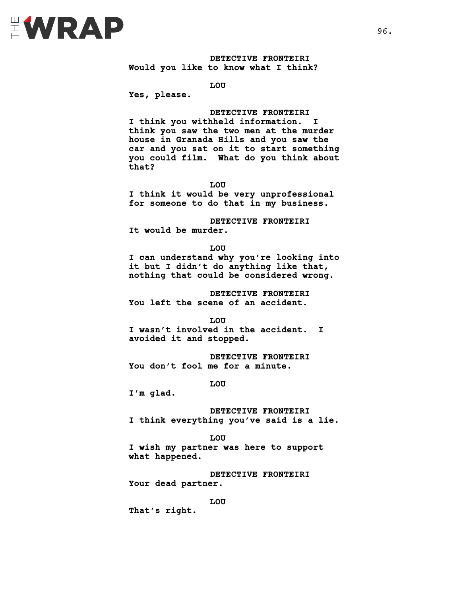

**DETECTIVE FRONTEIRI Would you like to know what I think?**

**LOU**

**Yes, please.**

**DETECTIVE FRONTEIRI I think you withheld information. I think you saw the two men at the murder house in Granada Hills and you saw the car and you sat on it to start something you could film. What do you think about that?** 

**LOU**

**I think it would be very unprofessional for someone to do that in my business.** 

**DETECTIVE FRONTEIRI It would be murder.**

**LOU**

**I can understand why you're looking into it but I didn't do anything like that, nothing that could be considered wrong.**

**DETECTIVE FRONTEIRI You left the scene of an accident.**

**LOU**

**I wasn't involved in the accident. I avoided it and stopped.**

**DETECTIVE FRONTEIRI You don't fool me for a minute.**

**LOU**

**I'm glad.**

**DETECTIVE FRONTEIRI I think everything you've said is a lie.**

**LOU**

**I wish my partner was here to support what happened.**

**DETECTIVE FRONTEIRI Your dead partner.**

**LOU**

**That's right.**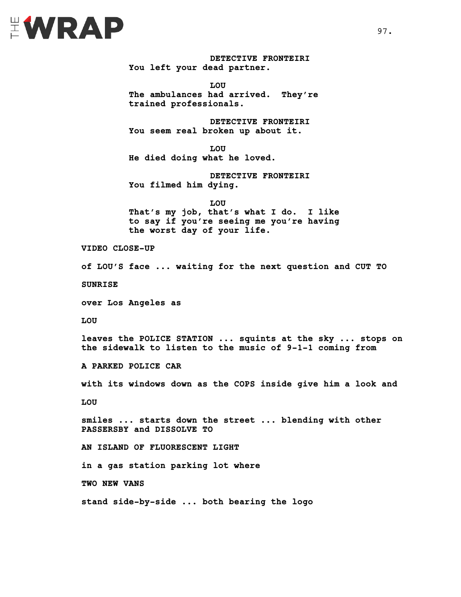# EWRAP

**DETECTIVE FRONTEIRI You left your dead partner.**

**LOU The ambulances had arrived. They're trained professionals.**

**DETECTIVE FRONTEIRI You seem real broken up about it.**

**LOU He died doing what he loved.**

**DETECTIVE FRONTEIRI You filmed him dying.**

**LOU That's my job, that's what I do. I like to say if you're seeing me you're having the worst day of your life.**

**VIDEO CLOSE-UP**

**of LOU'S face ... waiting for the next question and CUT TO** 

**SUNRISE**

**over Los Angeles as** 

**LOU** 

**leaves the POLICE STATION ... squints at the sky ... stops on the sidewalk to listen to the music of 9-1-1 coming from** 

**A PARKED POLICE CAR** 

**with its windows down as the COPS inside give him a look and** 

**LOU** 

**smiles ... starts down the street ... blending with other PASSERSBY and DISSOLVE TO** 

**AN ISLAND OF FLUORESCENT LIGHT** 

**in a gas station parking lot where**

**TWO NEW VANS** 

**stand side-by-side ... both bearing the logo**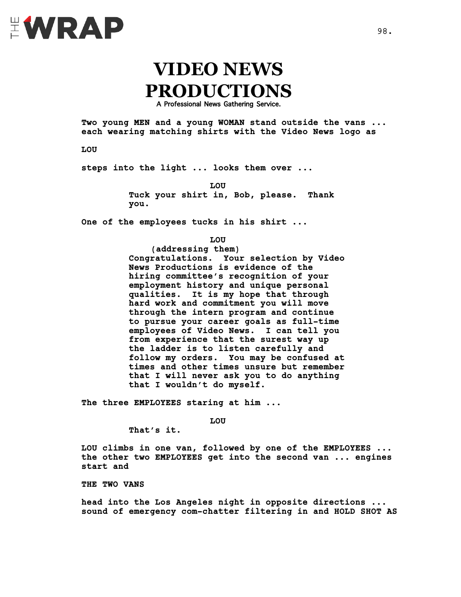

### **VIDEO NEWS PRODUCTIONS**

A Professional News Gathering Service.

**Two young MEN and a young WOMAN stand outside the vans ... each wearing matching shirts with the Video News logo as**

**LOU** 

**steps into the light ... looks them over ...**

**LOU Tuck your shirt in, Bob, please. Thank you.**

**One of the employees tucks in his shirt ...**

**LOU**

**(addressing them) Congratulations. Your selection by Video News Productions is evidence of the hiring committee's recognition of your employment history and unique personal qualities. It is my hope that through hard work and commitment you will move through the intern program and continue to pursue your career goals as full-time employees of Video News. I can tell you from experience that the surest way up the ladder is to listen carefully and follow my orders. You may be confused at times and other times unsure but remember that I will never ask you to do anything that I wouldn't do myself.** 

**The three EMPLOYEES staring at him ...**

**LOU**

**That's it.**

**LOU climbs in one van, followed by one of the EMPLOYEES ... the other two EMPLOYEES get into the second van ... engines start and** 

**THE TWO VANS**

**head into the Los Angeles night in opposite directions ... sound of emergency com-chatter filtering in and HOLD SHOT AS**